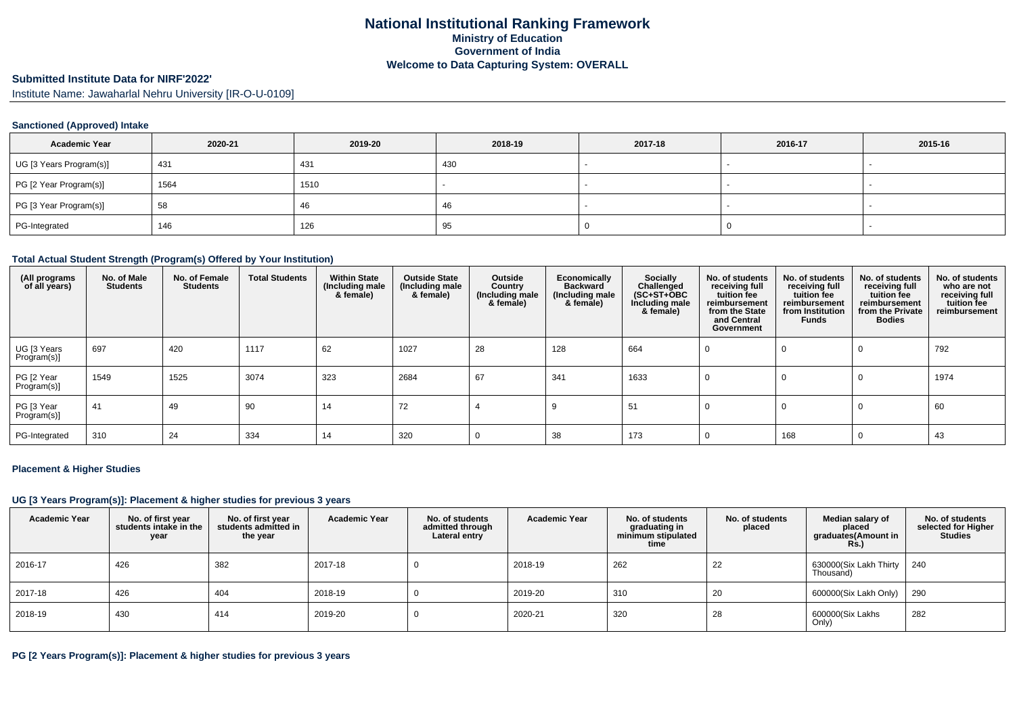## **Submitted Institute Data for NIRF'2022'**

Institute Name: Jawaharlal Nehru University [IR-O-U-0109]

## **Sanctioned (Approved) Intake**

| <b>Academic Year</b>    | 2020-21 | 2019-20 | 2018-19 | 2017-18 | 2016-17 | 2015-16                  |
|-------------------------|---------|---------|---------|---------|---------|--------------------------|
| UG [3 Years Program(s)] | 431     | 431     | 430     |         |         | $\overline{\phantom{a}}$ |
| PG [2 Year Program(s)]  | 1564    | 1510    |         |         |         |                          |
| PG [3 Year Program(s)]  | 58      | 46      | -46     |         |         |                          |
| PG-Integrated           | 146     | 126     | 95      |         |         |                          |

### **Total Actual Student Strength (Program(s) Offered by Your Institution)**

| (All programs<br>of all years) | No. of Male<br><b>Students</b> | No. of Female<br><b>Students</b> | <b>Total Students</b> | <b>Within State</b><br>(Including male<br>& female) | <b>Outside State</b><br>(Including male)<br>& female) | Outside<br>Country<br>(Including male<br>& female) | Economically<br><b>Backward</b><br>(Including male<br>& female) | Socially<br>Challenged<br>$(SC+ST+OBC$<br>Including male<br>& female) | No. of students<br>receiving full<br>tuition fee<br>reimbursement<br>from the State<br>and Central<br>Government | No. of students<br>receiving full<br>tuition fee<br>reimbursement<br>from Institution<br><b>Funds</b> | No. of students<br>receiving full<br>tuition fee<br>reimbursement<br>from the Private<br><b>Bodies</b> | No. of students<br>who are not<br>receiving full<br>tuition fee<br>reimbursement |
|--------------------------------|--------------------------------|----------------------------------|-----------------------|-----------------------------------------------------|-------------------------------------------------------|----------------------------------------------------|-----------------------------------------------------------------|-----------------------------------------------------------------------|------------------------------------------------------------------------------------------------------------------|-------------------------------------------------------------------------------------------------------|--------------------------------------------------------------------------------------------------------|----------------------------------------------------------------------------------|
| UG [3 Years<br>Program(s)      | 697                            | 420                              | 1117                  | 62                                                  | 1027                                                  | 28                                                 | 128                                                             | 664                                                                   | 0                                                                                                                | 0                                                                                                     | $\Omega$                                                                                               | 792                                                                              |
| PG [2 Year<br>Program(s)]      | 1549                           | 1525                             | 3074                  | 323                                                 | 2684                                                  | 67                                                 | 341                                                             | 1633                                                                  | 0                                                                                                                | 0                                                                                                     | 0                                                                                                      | 1974                                                                             |
| PG [3 Year<br>Program(s)]      | 41                             | 49                               | 90                    | 14                                                  | 72                                                    |                                                    |                                                                 | 51                                                                    |                                                                                                                  | 0                                                                                                     | 0                                                                                                      | 60                                                                               |
| PG-Integrated                  | 310                            | 24                               | 334                   | 14                                                  | 320                                                   |                                                    | 38                                                              | 173                                                                   |                                                                                                                  | 168                                                                                                   | $\Omega$                                                                                               | 43                                                                               |

#### **Placement & Higher Studies**

## **UG [3 Years Program(s)]: Placement & higher studies for previous 3 years**

| <b>Academic Year</b> | No. of first year<br>students intake in the<br>year | No. of first year<br>students admitted in<br>the year | <b>Academic Year</b> | No. of students<br>admitted through<br>Lateral entry | <b>Academic Year</b> | No. of students<br>graduating in<br>minimum stipulated<br>time | No. of students<br>placed | Median salary of<br>placed<br>graduates(Amount in<br><b>Rs.)</b> | No. of students<br>selected for Higher<br><b>Studies</b> |
|----------------------|-----------------------------------------------------|-------------------------------------------------------|----------------------|------------------------------------------------------|----------------------|----------------------------------------------------------------|---------------------------|------------------------------------------------------------------|----------------------------------------------------------|
| 2016-17              | 426                                                 | 382                                                   | 2017-18              |                                                      | 2018-19              | 262                                                            | 22                        | 630000(Six Lakh Thirty<br>Thousand)                              | 240                                                      |
| 2017-18              | 426                                                 | 404                                                   | 2018-19              |                                                      | 2019-20              | 310                                                            | 20                        | 600000(Six Lakh Only)                                            | 290                                                      |
| 2018-19              | 430                                                 | 414                                                   | 2019-20              |                                                      | 2020-21              | 320                                                            | 28                        | 600000(Six Lakhs<br>Only)                                        | 282                                                      |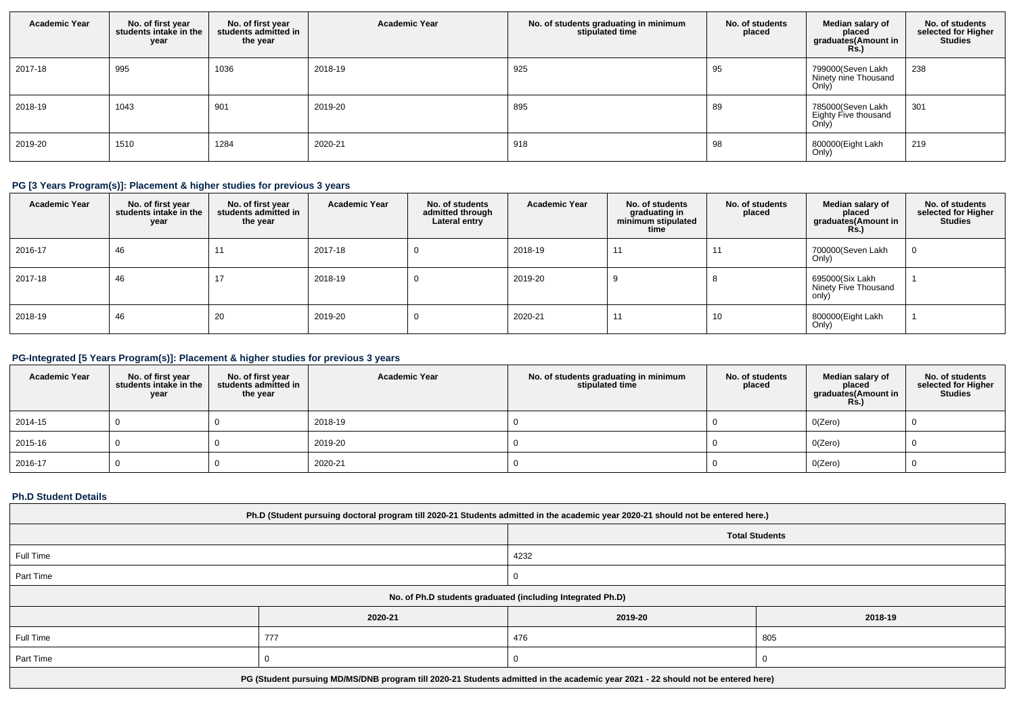| <b>Academic Year</b> | No. of first year<br>students intake in the<br>year | No. of first year<br>students admitted in<br>the year | <b>Academic Year</b> | No. of students graduating in minimum<br>stipulated time | No. of students<br>placed | Median salary of<br>placed<br>graduates(Amount in<br><b>Rs.)</b> | No. of students<br>selected for Higher<br><b>Studies</b> |
|----------------------|-----------------------------------------------------|-------------------------------------------------------|----------------------|----------------------------------------------------------|---------------------------|------------------------------------------------------------------|----------------------------------------------------------|
| 2017-18              | 995                                                 | 1036                                                  | 2018-19              | 925                                                      | 95                        | 799000(Seven Lakh<br>Ninety nine Thousand<br>Only)               | 238                                                      |
| 2018-19              | 1043                                                | 901                                                   | 2019-20              | 895                                                      | 89                        | 785000(Seven Lakh<br>Eighty Five thousand<br>On <sub>IV</sub>    | 301                                                      |
| 2019-20              | 1510                                                | 1284                                                  | 2020-21              | 918                                                      | 98                        | 800000(Eight Lakh<br>Only)                                       | 219                                                      |

# **PG [3 Years Program(s)]: Placement & higher studies for previous 3 years**

| <b>Academic Year</b> | No. of first year<br>students intake in the<br>year | No. of first year<br>students admitted in<br>the year | <b>Academic Year</b> | No. of students<br>admitted through<br>Lateral entry | <b>Academic Year</b> | No. of students<br>graduating in<br>minimum stipulated<br>time | No. of students<br>placed | Median salary of<br>placed<br>graduates(Amount in<br><b>Rs.)</b> | No. of students<br>selected for Higher<br><b>Studies</b> |
|----------------------|-----------------------------------------------------|-------------------------------------------------------|----------------------|------------------------------------------------------|----------------------|----------------------------------------------------------------|---------------------------|------------------------------------------------------------------|----------------------------------------------------------|
| 2016-17              | 46                                                  | 11                                                    | 2017-18              |                                                      | 2018-19              | 11                                                             | 11                        | 700000(Seven Lakh<br>Only)                                       |                                                          |
| 2017-18              | 46                                                  | 17                                                    | 2018-19              | -0                                                   | 2019-20              |                                                                |                           | 695000(Six Lakh<br>Ninety Five Thousand<br>only)                 |                                                          |
| 2018-19              | 46                                                  | 20                                                    | 2019-20              | -0                                                   | 2020-21              | 11                                                             | 10                        | 800000(Eight Lakh<br>Only)                                       |                                                          |

# **PG-Integrated [5 Years Program(s)]: Placement & higher studies for previous 3 years**

| <b>Academic Year</b> | No. of first year<br>students intake in the<br>year | No. of first year<br>students admitted in<br>the year | <b>Academic Year</b> | No. of students graduating in minimum<br>stipulated time | No. of students<br>placed | Median salary of<br>placed<br>graduates(Amount in<br><b>Rs.)</b> | No. of students<br>selected for Higher<br><b>Studies</b> |
|----------------------|-----------------------------------------------------|-------------------------------------------------------|----------------------|----------------------------------------------------------|---------------------------|------------------------------------------------------------------|----------------------------------------------------------|
| 2014-15              |                                                     |                                                       | 2018-19              |                                                          |                           | O(Zero)                                                          |                                                          |
| 2015-16              |                                                     |                                                       | 2019-20              |                                                          |                           | O(Zero)                                                          |                                                          |
| 2016-17              |                                                     |                                                       | 2020-21              |                                                          |                           | O(Zero)                                                          |                                                          |

## **Ph.D Student Details**

| Ph.D (Student pursuing doctoral program till 2020-21 Students admitted in the academic year 2020-21 should not be entered here.) |                                                                                                                                  |         |         |  |  |  |  |
|----------------------------------------------------------------------------------------------------------------------------------|----------------------------------------------------------------------------------------------------------------------------------|---------|---------|--|--|--|--|
| <b>Total Students</b>                                                                                                            |                                                                                                                                  |         |         |  |  |  |  |
| Full Time<br>4232                                                                                                                |                                                                                                                                  |         |         |  |  |  |  |
| Part Time                                                                                                                        |                                                                                                                                  |         |         |  |  |  |  |
| No. of Ph.D students graduated (including Integrated Ph.D)                                                                       |                                                                                                                                  |         |         |  |  |  |  |
|                                                                                                                                  | 2020-21                                                                                                                          | 2019-20 | 2018-19 |  |  |  |  |
| Full Time                                                                                                                        | 777                                                                                                                              | 476     | 805     |  |  |  |  |
| Part Time                                                                                                                        |                                                                                                                                  |         |         |  |  |  |  |
|                                                                                                                                  | PG (Student pursuing MD/MS/DNB program till 2020-21 Students admitted in the academic year 2021 - 22 should not be entered here) |         |         |  |  |  |  |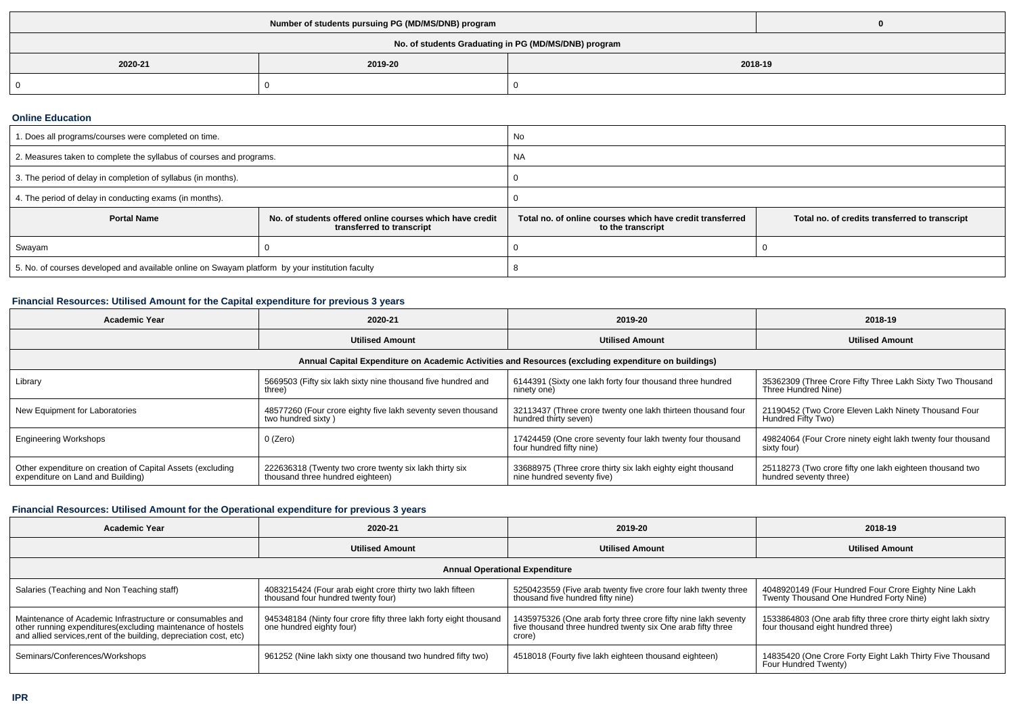| No. of students Graduating in PG (MD/MS/DNB) program |                    |  |  |  |  |
|------------------------------------------------------|--------------------|--|--|--|--|
| 2020-21                                              | 2018-19<br>2019-20 |  |  |  |  |
|                                                      |                    |  |  |  |  |

#### **Online Education**

| 1. Does all programs/courses were completed on time.                                            |                                                                                       | No                                                                                                                               |  |  |
|-------------------------------------------------------------------------------------------------|---------------------------------------------------------------------------------------|----------------------------------------------------------------------------------------------------------------------------------|--|--|
| 2. Measures taken to complete the syllabus of courses and programs.                             |                                                                                       | <b>NA</b>                                                                                                                        |  |  |
| 3. The period of delay in completion of syllabus (in months).                                   |                                                                                       |                                                                                                                                  |  |  |
| 4. The period of delay in conducting exams (in months).                                         |                                                                                       |                                                                                                                                  |  |  |
| <b>Portal Name</b>                                                                              | No. of students offered online courses which have credit<br>transferred to transcript | Total no, of online courses which have credit transferred<br>Total no. of credits transferred to transcript<br>to the transcript |  |  |
| Swayam                                                                                          |                                                                                       |                                                                                                                                  |  |  |
| 5. No. of courses developed and available online on Swayam platform by your institution faculty |                                                                                       |                                                                                                                                  |  |  |

# **Financial Resources: Utilised Amount for the Capital expenditure for previous 3 years**

| <b>Academic Year</b>                                                                            | 2020-21                                                                                              | 2019-20                                                                                   | 2018-19                                                                            |  |  |  |  |  |
|-------------------------------------------------------------------------------------------------|------------------------------------------------------------------------------------------------------|-------------------------------------------------------------------------------------------|------------------------------------------------------------------------------------|--|--|--|--|--|
|                                                                                                 | <b>Utilised Amount</b>                                                                               | <b>Utilised Amount</b>                                                                    | <b>Utilised Amount</b>                                                             |  |  |  |  |  |
|                                                                                                 | Annual Capital Expenditure on Academic Activities and Resources (excluding expenditure on buildings) |                                                                                           |                                                                                    |  |  |  |  |  |
| Library                                                                                         | 5669503 (Fifty six lakh sixty nine thousand five hundred and<br>three)                               | 6144391 (Sixty one lakh forty four thousand three hundred<br>ninety one)                  | 35362309 (Three Crore Fifty Three Lakh Sixty Two Thousand<br>Three Hundred Nine)   |  |  |  |  |  |
| New Equipment for Laboratories                                                                  | 48577260 (Four crore eighty five lakh seventy seven thousand<br>two hundred sixty)                   | 32113437 (Three crore twenty one lakh thirteen thousand four<br>hundred thirty seven)     | 21190452 (Two Crore Eleven Lakh Ninety Thousand Four<br>Hundred Fifty Two)         |  |  |  |  |  |
| <b>Engineering Workshops</b>                                                                    | 0 (Zero)                                                                                             | 17424459 (One crore seventy four lakh twenty four thousand<br>four hundred fifty nine)    | 49824064 (Four Crore ninety eight lakh twenty four thousand<br>sixty four)         |  |  |  |  |  |
| Other expenditure on creation of Capital Assets (excluding<br>expenditure on Land and Building) | 222636318 (Twenty two crore twenty six lakh thirty six<br>thousand three hundred eighteen)           | 33688975 (Three crore thirty six lakh eighty eight thousand<br>nine hundred seventy five) | 25118273 (Two crore fifty one lakh eighteen thousand two<br>hundred seventy three) |  |  |  |  |  |

# **Financial Resources: Utilised Amount for the Operational expenditure for previous 3 years**

| <b>Academic Year</b>                                                                                                                                                                            | 2020-21                                                                                         | 2019-20                                                                                                                                 | 2018-19                                                                                               |  |  |  |
|-------------------------------------------------------------------------------------------------------------------------------------------------------------------------------------------------|-------------------------------------------------------------------------------------------------|-----------------------------------------------------------------------------------------------------------------------------------------|-------------------------------------------------------------------------------------------------------|--|--|--|
|                                                                                                                                                                                                 | <b>Utilised Amount</b>                                                                          | <b>Utilised Amount</b>                                                                                                                  | <b>Utilised Amount</b>                                                                                |  |  |  |
| <b>Annual Operational Expenditure</b>                                                                                                                                                           |                                                                                                 |                                                                                                                                         |                                                                                                       |  |  |  |
| Salaries (Teaching and Non Teaching staff)                                                                                                                                                      | 4083215424 (Four arab eight crore thirty two lakh fifteen<br>thousand four hundred twenty four) | 5250423559 (Five arab twenty five crore four lakh twenty three<br>thousand five hundred fifty nine)                                     | 4048920149 (Four Hundred Four Crore Eighty Nine Lakh<br>Twenty Thousand One Hundred Forty Nine)       |  |  |  |
| Maintenance of Academic Infrastructure or consumables and<br>other running expenditures (excluding maintenance of hostels<br>and allied services, rent of the building, depreciation cost, etc) | 945348184 (Ninty four crore fifty three lakh forty eight thousand<br>one hundred eighty four)   | 1435975326 (One arab forty three crore fifty nine lakh seventy<br>five thousand three hundred twenty six One arab fifty three<br>crore) | 1533864803 (One arab fifty three crore thirty eight lakh sixtry<br>four thousand eight hundred three) |  |  |  |
| Seminars/Conferences/Workshops                                                                                                                                                                  | 961252 (Nine lakh sixty one thousand two hundred fifty two)                                     | 4518018 (Fourty five lakh eighteen thousand eighteen)                                                                                   | 14835420 (One Crore Forty Eight Lakh Thirty Five Thousand<br>Four Hundred Twenty)                     |  |  |  |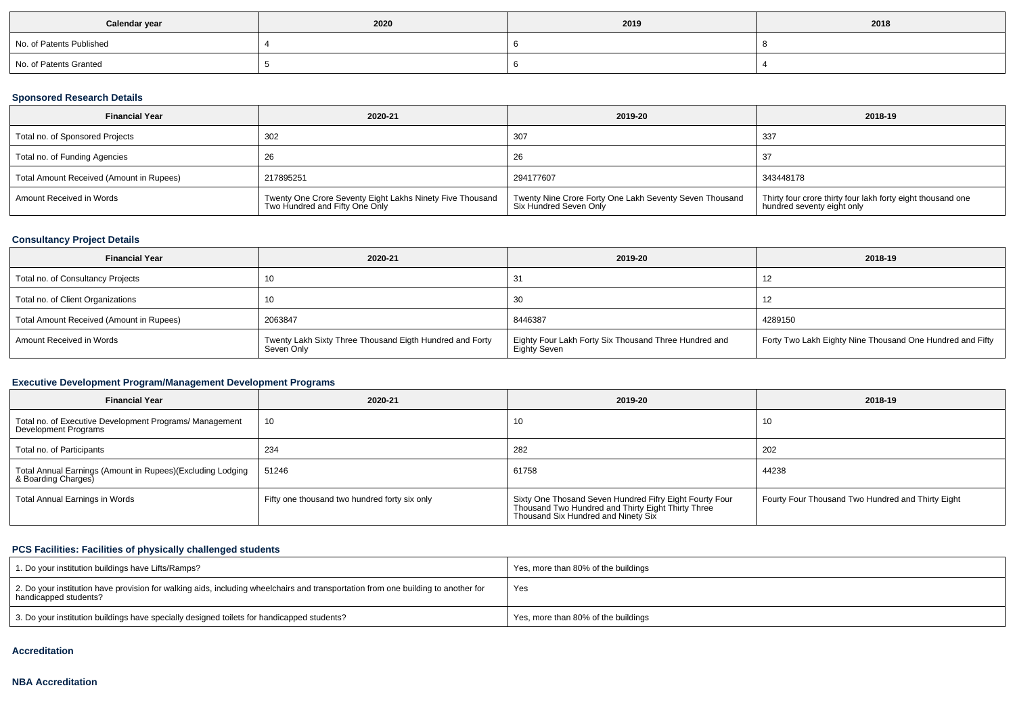| Calendar year            | 2020 | 2019 | 2018 |
|--------------------------|------|------|------|
| No. of Patents Published |      |      |      |
| No. of Patents Granted   |      |      |      |

# **Sponsored Research Details**

| <b>Financial Year</b>                    | 2020-21                                                                                     | 2019-20                                                                           | 2018-19                                                                                   |
|------------------------------------------|---------------------------------------------------------------------------------------------|-----------------------------------------------------------------------------------|-------------------------------------------------------------------------------------------|
| Total no. of Sponsored Projects          | 302                                                                                         | 307                                                                               | -337                                                                                      |
| Total no. of Funding Agencies            | 26                                                                                          | 26                                                                                |                                                                                           |
| Total Amount Received (Amount in Rupees) | 217895251                                                                                   | 294177607                                                                         | 343448178                                                                                 |
| Amount Received in Words                 | Twenty One Crore Seventy Eight Lakhs Ninety Five Thousand<br>Two Hundred and Fifty One Only | Twenty Nine Crore Forty One Lakh Seventy Seven Thousand<br>Six Hundred Seven Only | Thirty four crore thirty four lakh forty eight thousand one<br>hundred seventy eight only |

## **Consultancy Project Details**

| <b>Financial Year</b>                    | 2020-21                                                                | 2019-20                                                               | 2018-19                                                   |
|------------------------------------------|------------------------------------------------------------------------|-----------------------------------------------------------------------|-----------------------------------------------------------|
| Total no. of Consultancy Projects        |                                                                        |                                                                       |                                                           |
| Total no. of Client Organizations        | 10                                                                     | 30                                                                    |                                                           |
| Total Amount Received (Amount in Rupees) | 2063847                                                                | 8446387                                                               | 4289150                                                   |
| Amount Received in Words                 | Twenty Lakh Sixty Three Thousand Eigth Hundred and Forty<br>Seven Only | Eighty Four Lakh Forty Six Thousand Three Hundred and<br>Eighty Seven | Forty Two Lakh Eighty Nine Thousand One Hundred and Fifty |

# **Executive Development Program/Management Development Programs**

| <b>Financial Year</b>                                                             | 2020-21                                       | 2019-20                                                                                                                                              | 2018-19                                           |
|-----------------------------------------------------------------------------------|-----------------------------------------------|------------------------------------------------------------------------------------------------------------------------------------------------------|---------------------------------------------------|
| Total no. of Executive Development Programs/ Management<br>Development Programs   | 10                                            | 10                                                                                                                                                   | 10                                                |
| Total no. of Participants                                                         | 234                                           | 282                                                                                                                                                  | 202                                               |
| Total Annual Earnings (Amount in Rupees)(Excluding Lodging<br>& Boarding Charges) | 51246                                         | 61758                                                                                                                                                | 44238                                             |
| Total Annual Earnings in Words                                                    | Fifty one thousand two hundred forty six only | Sixty One Thosand Seven Hundred Fifry Eight Fourty Four<br>Thousand Two Hundred and Thirty Eight Thirty Three<br>Thousand Six Hundred and Ninety Six | Fourty Four Thousand Two Hundred and Thirty Eight |

# **PCS Facilities: Facilities of physically challenged students**

| 1. Do your institution buildings have Lifts/Ramps?                                                                                                         | Yes, more than 80% of the buildings |
|------------------------------------------------------------------------------------------------------------------------------------------------------------|-------------------------------------|
| 2. Do your institution have provision for walking aids, including wheelchairs and transportation from one building to another for<br>handicapped students? | Yes                                 |
| 3. Do your institution buildings have specially designed toilets for handicapped students?                                                                 | Yes, more than 80% of the buildings |

### **Accreditation**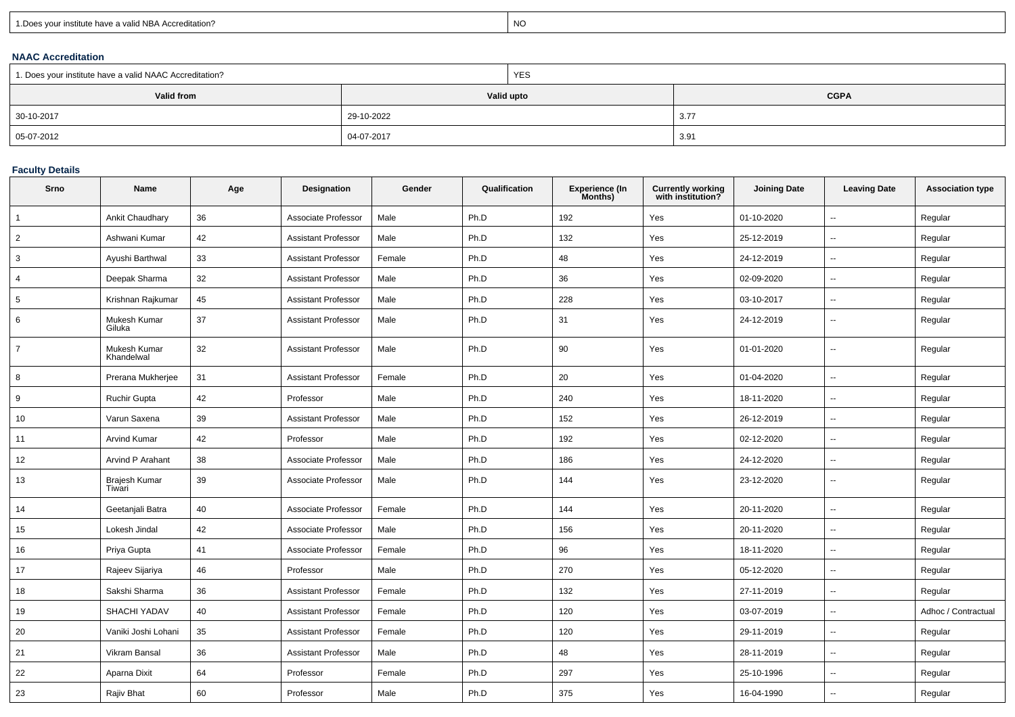| 1. Does your institute have a valid NBA Accreditation? |  |
|--------------------------------------------------------|--|
|                                                        |  |

expression of the contract of the contract of the contract of the contract of the contract of the contract of the contract of the contract of the contract of the contract of the contract of the contract of the contract of

## **NAAC Accreditation**

| 1. Does your institute have a valid NAAC Accreditation? |            | YES        |             |  |  |  |
|---------------------------------------------------------|------------|------------|-------------|--|--|--|
| Valid from                                              |            | Valid upto | <b>CGPA</b> |  |  |  |
| 30-10-2017                                              | 29-10-2022 |            | 3.77        |  |  |  |
| 05-07-2012                                              | 04-07-2017 |            | 3.91        |  |  |  |

## **Faculty Details**

| Srno           | Name                       | Age | Designation                | Gender | Qualification | <b>Experience (In</b><br>Months) | <b>Currently working</b><br>with institution? | <b>Joining Date</b> | <b>Leaving Date</b>      | <b>Association type</b> |
|----------------|----------------------------|-----|----------------------------|--------|---------------|----------------------------------|-----------------------------------------------|---------------------|--------------------------|-------------------------|
| $\overline{1}$ | Ankit Chaudhary            | 36  | Associate Professor        | Male   | Ph.D          | 192                              | Yes                                           | 01-10-2020          | $\sim$                   | Regular                 |
| $\overline{2}$ | Ashwani Kumar              | 42  | <b>Assistant Professor</b> | Male   | Ph.D          | 132                              | Yes                                           | 25-12-2019          | $\overline{\phantom{a}}$ | Regular                 |
| 3              | Ayushi Barthwal            | 33  | <b>Assistant Professor</b> | Female | Ph.D          | 48                               | Yes                                           | 24-12-2019          | $\overline{\phantom{a}}$ | Regular                 |
| 4              | Deepak Sharma              | 32  | <b>Assistant Professor</b> | Male   | Ph.D          | 36                               | Yes                                           | 02-09-2020          | $\overline{\phantom{a}}$ | Regular                 |
| 5              | Krishnan Rajkumar          | 45  | <b>Assistant Professor</b> | Male   | Ph.D          | 228                              | Yes                                           | 03-10-2017          | $\overline{\phantom{a}}$ | Regular                 |
| 6              | Mukesh Kumar<br>Giluka     | 37  | <b>Assistant Professor</b> | Male   | Ph.D          | 31                               | Yes                                           | 24-12-2019          | $\overline{\phantom{a}}$ | Regular                 |
| $\overline{7}$ | Mukesh Kumar<br>Khandelwal | 32  | <b>Assistant Professor</b> | Male   | Ph.D          | 90                               | Yes                                           | 01-01-2020          | $\overline{\phantom{a}}$ | Regular                 |
| 8              | Prerana Mukherjee          | 31  | <b>Assistant Professor</b> | Female | Ph.D          | 20                               | Yes                                           | 01-04-2020          | $\overline{\phantom{a}}$ | Regular                 |
| 9              | <b>Ruchir Gupta</b>        | 42  | Professor                  | Male   | Ph.D          | 240                              | Yes                                           | 18-11-2020          | $\sim$                   | Regular                 |
| 10             | Varun Saxena               | 39  | <b>Assistant Professor</b> | Male   | Ph.D          | 152                              | Yes                                           | 26-12-2019          | $\overline{a}$           | Regular                 |
| 11             | <b>Arvind Kumar</b>        | 42  | Professor                  | Male   | Ph.D          | 192                              | Yes                                           | 02-12-2020          | $\overline{\phantom{a}}$ | Regular                 |
| 12             | <b>Arvind P Arahant</b>    | 38  | Associate Professor        | Male   | Ph.D          | 186                              | Yes                                           | 24-12-2020          | $\overline{\phantom{a}}$ | Regular                 |
| 13             | Brajesh Kumar<br>Tiwari    | 39  | Associate Professor        | Male   | Ph.D          | 144                              | Yes                                           | 23-12-2020          | $\overline{\phantom{a}}$ | Regular                 |
| 14             | Geetanjali Batra           | 40  | Associate Professor        | Female | Ph.D          | 144                              | Yes                                           | 20-11-2020          | $\overline{\phantom{a}}$ | Regular                 |
| 15             | Lokesh Jindal              | 42  | Associate Professor        | Male   | Ph.D          | 156                              | Yes                                           | 20-11-2020          | $\overline{\phantom{a}}$ | Regular                 |
| 16             | Priya Gupta                | 41  | Associate Professor        | Female | Ph.D          | 96                               | Yes                                           | 18-11-2020          | $\overline{\phantom{a}}$ | Regular                 |
| 17             | Rajeev Sijariya            | 46  | Professor                  | Male   | Ph.D          | 270                              | Yes                                           | 05-12-2020          | $\overline{\phantom{a}}$ | Regular                 |
| 18             | Sakshi Sharma              | 36  | <b>Assistant Professor</b> | Female | Ph.D          | 132                              | Yes                                           | 27-11-2019          | $\overline{\phantom{a}}$ | Regular                 |
| 19             | <b>SHACHI YADAV</b>        | 40  | <b>Assistant Professor</b> | Female | Ph.D          | 120                              | Yes                                           | 03-07-2019          | $\overline{\phantom{a}}$ | Adhoc / Contractual     |
| 20             | Vaniki Joshi Lohani        | 35  | <b>Assistant Professor</b> | Female | Ph.D          | 120                              | Yes                                           | 29-11-2019          | $\overline{\phantom{a}}$ | Regular                 |
| 21             | Vikram Bansal              | 36  | <b>Assistant Professor</b> | Male   | Ph.D          | 48                               | Yes                                           | 28-11-2019          | $\overline{\phantom{a}}$ | Regular                 |
| 22             | Aparna Dixit               | 64  | Professor                  | Female | Ph.D          | 297                              | Yes                                           | 25-10-1996          | $\overline{\phantom{a}}$ | Regular                 |
| 23             | Rajiv Bhat                 | 60  | Professor                  | Male   | Ph.D          | 375                              | Yes                                           | 16-04-1990          | $\sim$                   | Regular                 |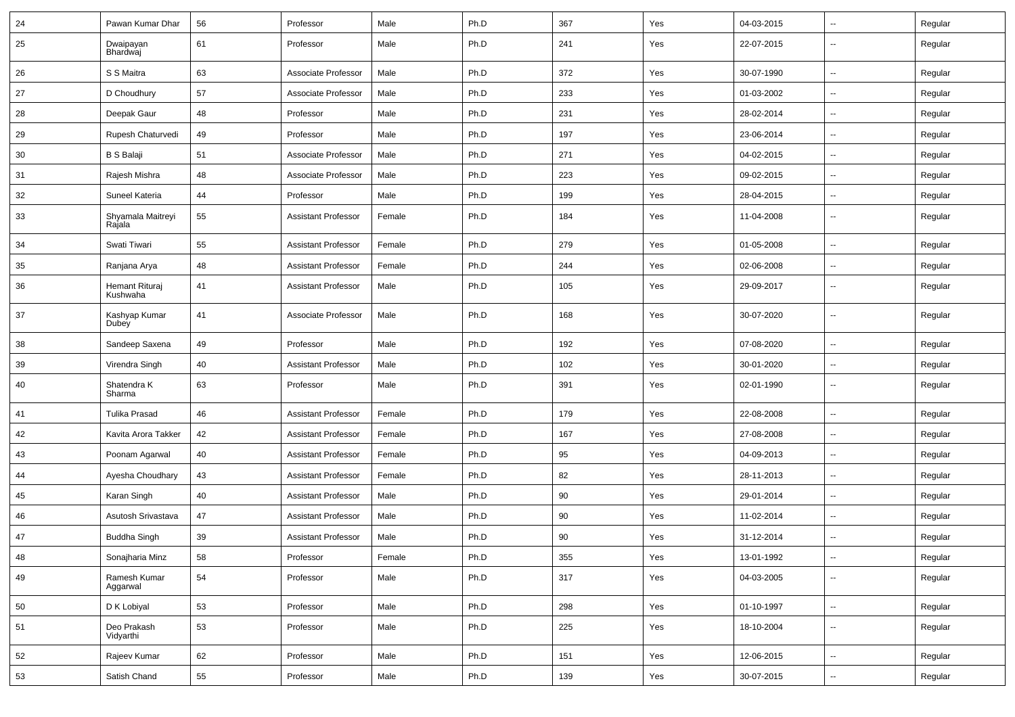| 24 | Pawan Kumar Dhar            | 56 | Professor                  | Male   | Ph.D | 367 | Yes | 04-03-2015 | $\overline{\phantom{a}}$ | Regular |
|----|-----------------------------|----|----------------------------|--------|------|-----|-----|------------|--------------------------|---------|
| 25 | Dwaipayan<br>Bhardwaj       | 61 | Professor                  | Male   | Ph.D | 241 | Yes | 22-07-2015 | Ξ.                       | Regular |
| 26 | S S Maitra                  | 63 | Associate Professor        | Male   | Ph.D | 372 | Yes | 30-07-1990 | --                       | Regular |
| 27 | D Choudhury                 | 57 | Associate Professor        | Male   | Ph.D | 233 | Yes | 01-03-2002 | $\sim$                   | Regular |
| 28 | Deepak Gaur                 | 48 | Professor                  | Male   | Ph.D | 231 | Yes | 28-02-2014 | --                       | Regular |
| 29 | Rupesh Chaturvedi           | 49 | Professor                  | Male   | Ph.D | 197 | Yes | 23-06-2014 | $\sim$                   | Regular |
| 30 | <b>B S Balaji</b>           | 51 | Associate Professor        | Male   | Ph.D | 271 | Yes | 04-02-2015 | $\sim$                   | Regular |
| 31 | Rajesh Mishra               | 48 | Associate Professor        | Male   | Ph.D | 223 | Yes | 09-02-2015 | $\sim$                   | Regular |
| 32 | Suneel Kateria              | 44 | Professor                  | Male   | Ph.D | 199 | Yes | 28-04-2015 | --                       | Regular |
| 33 | Shyamala Maitreyi<br>Rajala | 55 | <b>Assistant Professor</b> | Female | Ph.D | 184 | Yes | 11-04-2008 | Ξ.                       | Regular |
| 34 | Swati Tiwari                | 55 | <b>Assistant Professor</b> | Female | Ph.D | 279 | Yes | 01-05-2008 | Ξ.                       | Regular |
| 35 | Ranjana Arya                | 48 | <b>Assistant Professor</b> | Female | Ph.D | 244 | Yes | 02-06-2008 | $\overline{\phantom{a}}$ | Regular |
| 36 | Hemant Rituraj<br>Kushwaha  | 41 | <b>Assistant Professor</b> | Male   | Ph.D | 105 | Yes | 29-09-2017 | --                       | Regular |
| 37 | Kashyap Kumar<br>Dubey      | 41 | Associate Professor        | Male   | Ph.D | 168 | Yes | 30-07-2020 | --                       | Regular |
| 38 | Sandeep Saxena              | 49 | Professor                  | Male   | Ph.D | 192 | Yes | 07-08-2020 | Ξ.                       | Regular |
| 39 | Virendra Singh              | 40 | <b>Assistant Professor</b> | Male   | Ph.D | 102 | Yes | 30-01-2020 | $\overline{\phantom{a}}$ | Regular |
| 40 | Shatendra K<br>Sharma       | 63 | Professor                  | Male   | Ph.D | 391 | Yes | 02-01-1990 | $\sim$                   | Regular |
| 41 | <b>Tulika Prasad</b>        | 46 | <b>Assistant Professor</b> | Female | Ph.D | 179 | Yes | 22-08-2008 | $\overline{\phantom{a}}$ | Regular |
| 42 | Kavita Arora Takker         | 42 | <b>Assistant Professor</b> | Female | Ph.D | 167 | Yes | 27-08-2008 | --                       | Regular |
| 43 | Poonam Agarwal              | 40 | <b>Assistant Professor</b> | Female | Ph.D | 95  | Yes | 04-09-2013 | --                       | Regular |
| 44 | Ayesha Choudhary            | 43 | <b>Assistant Professor</b> | Female | Ph.D | 82  | Yes | 28-11-2013 | $\overline{\phantom{a}}$ | Regular |
| 45 | Karan Singh                 | 40 | <b>Assistant Professor</b> | Male   | Ph.D | 90  | Yes | 29-01-2014 | Ξ.                       | Regular |
| 46 | Asutosh Srivastava          | 47 | <b>Assistant Professor</b> | Male   | Ph.D | 90  | Yes | 11-02-2014 | $\sim$                   | Regular |
| 47 | Buddha Singh                | 39 | <b>Assistant Professor</b> | Male   | Ph.D | 90  | Yes | 31-12-2014 | $\overline{\phantom{a}}$ | Regular |
| 48 | Sonajharia Minz             | 58 | Professor                  | Female | Ph.D | 355 | Yes | 13-01-1992 | $\sim$                   | Regular |
| 49 | Ramesh Kumar<br>Aggarwal    | 54 | Professor                  | Male   | Ph.D | 317 | Yes | 04-03-2005 | u.                       | Regular |
| 50 | D K Lobiyal                 | 53 | Professor                  | Male   | Ph.D | 298 | Yes | 01-10-1997 | $\sim$                   | Regular |
| 51 | Deo Prakash<br>Vidyarthi    | 53 | Professor                  | Male   | Ph.D | 225 | Yes | 18-10-2004 | $\overline{\phantom{a}}$ | Regular |
| 52 | Rajeev Kumar                | 62 | Professor                  | Male   | Ph.D | 151 | Yes | 12-06-2015 | $\sim$                   | Regular |
| 53 | Satish Chand                | 55 | Professor                  | Male   | Ph.D | 139 | Yes | 30-07-2015 | $\overline{\phantom{a}}$ | Regular |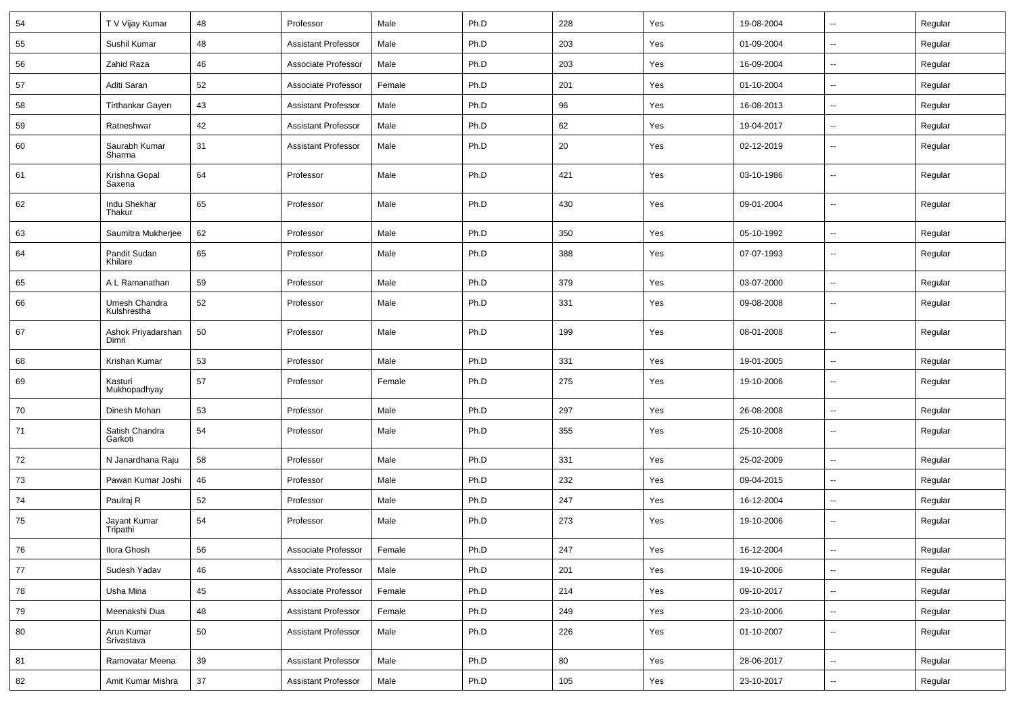| 54 | T V Vijay Kumar              | 48 | Professor                  | Male   | Ph.D | 228 | Yes | 19-08-2004 | $\sim$                   | Regular |
|----|------------------------------|----|----------------------------|--------|------|-----|-----|------------|--------------------------|---------|
| 55 | Sushil Kumar                 | 48 | <b>Assistant Professor</b> | Male   | Ph.D | 203 | Yes | 01-09-2004 | $\sim$                   | Regular |
| 56 | Zahid Raza                   | 46 | Associate Professor        | Male   | Ph.D | 203 | Yes | 16-09-2004 | $\sim$                   | Regular |
| 57 | Aditi Saran                  | 52 | Associate Professor        | Female | Ph.D | 201 | Yes | 01-10-2004 | $\overline{\phantom{a}}$ | Regular |
| 58 | <b>Tirthankar Gayen</b>      | 43 | <b>Assistant Professor</b> | Male   | Ph.D | 96  | Yes | 16-08-2013 | $\sim$                   | Regular |
| 59 | Ratneshwar                   | 42 | <b>Assistant Professor</b> | Male   | Ph.D | 62  | Yes | 19-04-2017 | $\sim$                   | Regular |
| 60 | Saurabh Kumar<br>Sharma      | 31 | <b>Assistant Professor</b> | Male   | Ph.D | 20  | Yes | 02-12-2019 | $\sim$                   | Regular |
| 61 | Krishna Gopal<br>Saxena      | 64 | Professor                  | Male   | Ph.D | 421 | Yes | 03-10-1986 | Ξ.                       | Regular |
| 62 | Indu Shekhar<br>Thakur       | 65 | Professor                  | Male   | Ph.D | 430 | Yes | 09-01-2004 | $\sim$                   | Regular |
| 63 | Saumitra Mukherjee           | 62 | Professor                  | Male   | Ph.D | 350 | Yes | 05-10-1992 | $\ddot{\phantom{a}}$     | Regular |
| 64 | Pandit Sudan<br>Khilare      | 65 | Professor                  | Male   | Ph.D | 388 | Yes | 07-07-1993 | $\overline{\phantom{a}}$ | Regular |
| 65 | A L Ramanathan               | 59 | Professor                  | Male   | Ph.D | 379 | Yes | 03-07-2000 | $\sim$                   | Regular |
| 66 | Umesh Chandra<br>Kulshrestha | 52 | Professor                  | Male   | Ph.D | 331 | Yes | 09-08-2008 | --                       | Regular |
| 67 | Ashok Priyadarshan<br>Dimri  | 50 | Professor                  | Male   | Ph.D | 199 | Yes | 08-01-2008 | Ξ.                       | Regular |
| 68 | Krishan Kumar                | 53 | Professor                  | Male   | Ph.D | 331 | Yes | 19-01-2005 | Ξ.                       | Regular |
| 69 | Kasturi<br>Mukhopadhyay      | 57 | Professor                  | Female | Ph.D | 275 | Yes | 19-10-2006 | $\sim$                   | Regular |
| 70 | Dinesh Mohan                 | 53 | Professor                  | Male   | Ph.D | 297 | Yes | 26-08-2008 | $\sim$                   | Regular |
| 71 | Satish Chandra<br>Garkoti    | 54 | Professor                  | Male   | Ph.D | 355 | Yes | 25-10-2008 | --                       | Regular |
| 72 | N Janardhana Raju            | 58 | Professor                  | Male   | Ph.D | 331 | Yes | 25-02-2009 | $\sim$                   | Regular |
| 73 | Pawan Kumar Joshi            | 46 | Professor                  | Male   | Ph.D | 232 | Yes | 09-04-2015 | $\overline{\phantom{a}}$ | Regular |
| 74 | Paulraj R                    | 52 | Professor                  | Male   | Ph.D | 247 | Yes | 16-12-2004 | $\overline{\phantom{a}}$ | Regular |
| 75 | Jayant Kumar<br>Tripathi     | 54 | Professor                  | Male   | Ph.D | 273 | Yes | 19-10-2006 | $\sim$                   | Regular |
| 76 | Ilora Ghosh                  | 56 | Associate Professor        | Female | Ph.D | 247 | Yes | 16-12-2004 | $\sim$                   | Regular |
| 77 | Sudesh Yadav                 | 46 | Associate Professor        | Male   | Ph.D | 201 | Yes | 19-10-2006 | u.                       | Regular |
| 78 | Usha Mina                    | 45 | Associate Professor        | Female | Ph.D | 214 | Yes | 09-10-2017 | Ξ.                       | Regular |
| 79 | Meenakshi Dua                | 48 | <b>Assistant Professor</b> | Female | Ph.D | 249 | Yes | 23-10-2006 | $\sim$                   | Regular |
| 80 | Arun Kumar<br>Srivastava     | 50 | <b>Assistant Professor</b> | Male   | Ph.D | 226 | Yes | 01-10-2007 | $\overline{\phantom{a}}$ | Regular |
| 81 | Ramovatar Meena              | 39 | <b>Assistant Professor</b> | Male   | Ph.D | 80  | Yes | 28-06-2017 | $\ddot{\phantom{a}}$     | Regular |
| 82 | Amit Kumar Mishra            | 37 | <b>Assistant Professor</b> | Male   | Ph.D | 105 | Yes | 23-10-2017 | $\sim$                   | Regular |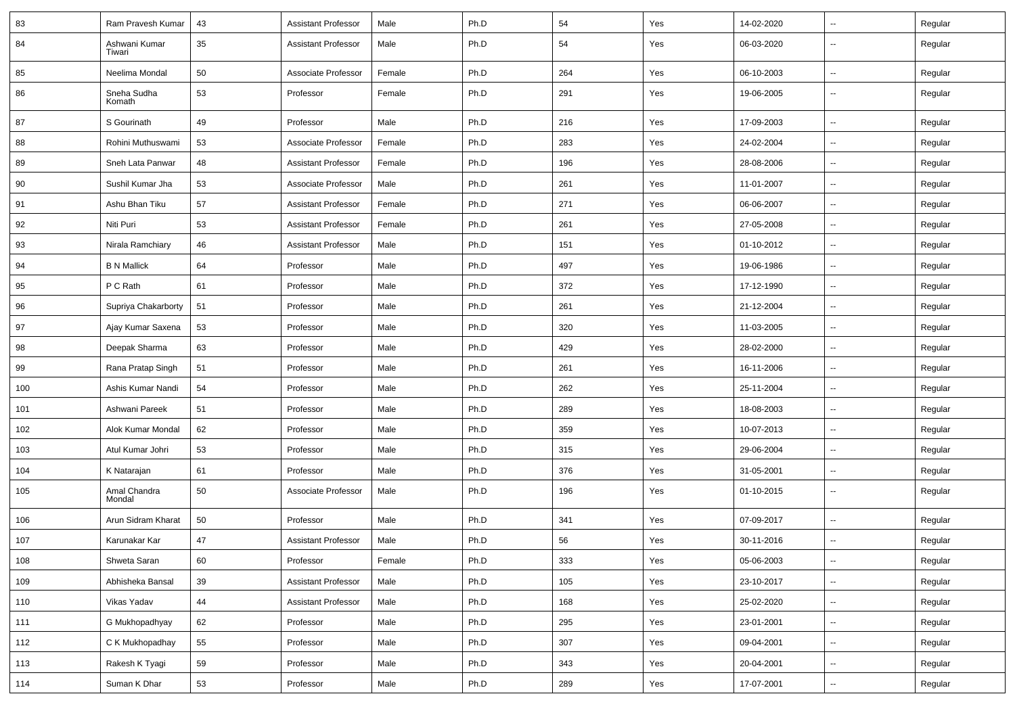| 83  | Ram Pravesh Kumar       | 43 | <b>Assistant Professor</b> | Male   | Ph.D | 54  | Yes | 14-02-2020 | $\mathbf{u}$             | Regular |
|-----|-------------------------|----|----------------------------|--------|------|-----|-----|------------|--------------------------|---------|
| 84  | Ashwani Kumar<br>Tiwari | 35 | <b>Assistant Professor</b> | Male   | Ph.D | 54  | Yes | 06-03-2020 | --                       | Regular |
| 85  | Neelima Mondal          | 50 | Associate Professor        | Female | Ph.D | 264 | Yes | 06-10-2003 | $\sim$                   | Regular |
| 86  | Sneha Sudha<br>Komath   | 53 | Professor                  | Female | Ph.D | 291 | Yes | 19-06-2005 | $\sim$                   | Regular |
| 87  | S Gourinath             | 49 | Professor                  | Male   | Ph.D | 216 | Yes | 17-09-2003 | $\sim$                   | Regular |
| 88  | Rohini Muthuswami       | 53 | Associate Professor        | Female | Ph.D | 283 | Yes | 24-02-2004 | $\overline{a}$           | Regular |
| 89  | Sneh Lata Panwar        | 48 | <b>Assistant Professor</b> | Female | Ph.D | 196 | Yes | 28-08-2006 | $\overline{a}$           | Regular |
| 90  | Sushil Kumar Jha        | 53 | Associate Professor        | Male   | Ph.D | 261 | Yes | 11-01-2007 | $\overline{\phantom{a}}$ | Regular |
| 91  | Ashu Bhan Tiku          | 57 | <b>Assistant Professor</b> | Female | Ph.D | 271 | Yes | 06-06-2007 | $\sim$                   | Regular |
| 92  | Niti Puri               | 53 | <b>Assistant Professor</b> | Female | Ph.D | 261 | Yes | 27-05-2008 | ш.                       | Regular |
| 93  | Nirala Ramchiary        | 46 | <b>Assistant Professor</b> | Male   | Ph.D | 151 | Yes | 01-10-2012 | $\sim$                   | Regular |
| 94  | <b>B N Mallick</b>      | 64 | Professor                  | Male   | Ph.D | 497 | Yes | 19-06-1986 | $\overline{a}$           | Regular |
| 95  | P C Rath                | 61 | Professor                  | Male   | Ph.D | 372 | Yes | 17-12-1990 | ш,                       | Regular |
| 96  | Supriya Chakarborty     | 51 | Professor                  | Male   | Ph.D | 261 | Yes | 21-12-2004 | $\sim$                   | Regular |
| 97  | Ajay Kumar Saxena       | 53 | Professor                  | Male   | Ph.D | 320 | Yes | 11-03-2005 | $\sim$                   | Regular |
| 98  | Deepak Sharma           | 63 | Professor                  | Male   | Ph.D | 429 | Yes | 28-02-2000 | ш.                       | Regular |
| 99  | Rana Pratap Singh       | 51 | Professor                  | Male   | Ph.D | 261 | Yes | 16-11-2006 | $\sim$                   | Regular |
| 100 | Ashis Kumar Nandi       | 54 | Professor                  | Male   | Ph.D | 262 | Yes | 25-11-2004 | $\overline{a}$           | Regular |
| 101 | Ashwani Pareek          | 51 | Professor                  | Male   | Ph.D | 289 | Yes | 18-08-2003 | ш.                       | Regular |
| 102 | Alok Kumar Mondal       | 62 | Professor                  | Male   | Ph.D | 359 | Yes | 10-07-2013 | $\sim$                   | Regular |
| 103 | Atul Kumar Johri        | 53 | Professor                  | Male   | Ph.D | 315 | Yes | 29-06-2004 | $\sim$                   | Regular |
| 104 | K Natarajan             | 61 | Professor                  | Male   | Ph.D | 376 | Yes | 31-05-2001 | Ξ.                       | Regular |
| 105 | Amal Chandra<br>Mondal  | 50 | Associate Professor        | Male   | Ph.D | 196 | Yes | 01-10-2015 | $\sim$                   | Regular |
| 106 | Arun Sidram Kharat      | 50 | Professor                  | Male   | Ph.D | 341 | Yes | 07-09-2017 | $\sim$                   | Regular |
| 107 | Karunakar Kar           | 47 | <b>Assistant Professor</b> | Male   | Ph.D | 56  | Yes | 30-11-2016 |                          | Regular |
| 108 | Shweta Saran            | 60 | Professor                  | Female | Ph.D | 333 | Yes | 05-06-2003 | $\sim$                   | Regular |
| 109 | Abhisheka Bansal        | 39 | <b>Assistant Professor</b> | Male   | Ph.D | 105 | Yes | 23-10-2017 | ш.                       | Regular |
| 110 | Vikas Yadav             | 44 | Assistant Professor        | Male   | Ph.D | 168 | Yes | 25-02-2020 | $\overline{\phantom{a}}$ | Regular |
| 111 | G Mukhopadhyay          | 62 | Professor                  | Male   | Ph.D | 295 | Yes | 23-01-2001 | ц.                       | Regular |
| 112 | C K Mukhopadhay         | 55 | Professor                  | Male   | Ph.D | 307 | Yes | 09-04-2001 | $\overline{\phantom{a}}$ | Regular |
| 113 | Rakesh K Tyagi          | 59 | Professor                  | Male   | Ph.D | 343 | Yes | 20-04-2001 | ш.                       | Regular |
| 114 | Suman K Dhar            | 53 | Professor                  | Male   | Ph.D | 289 | Yes | 17-07-2001 | $\overline{\phantom{a}}$ | Regular |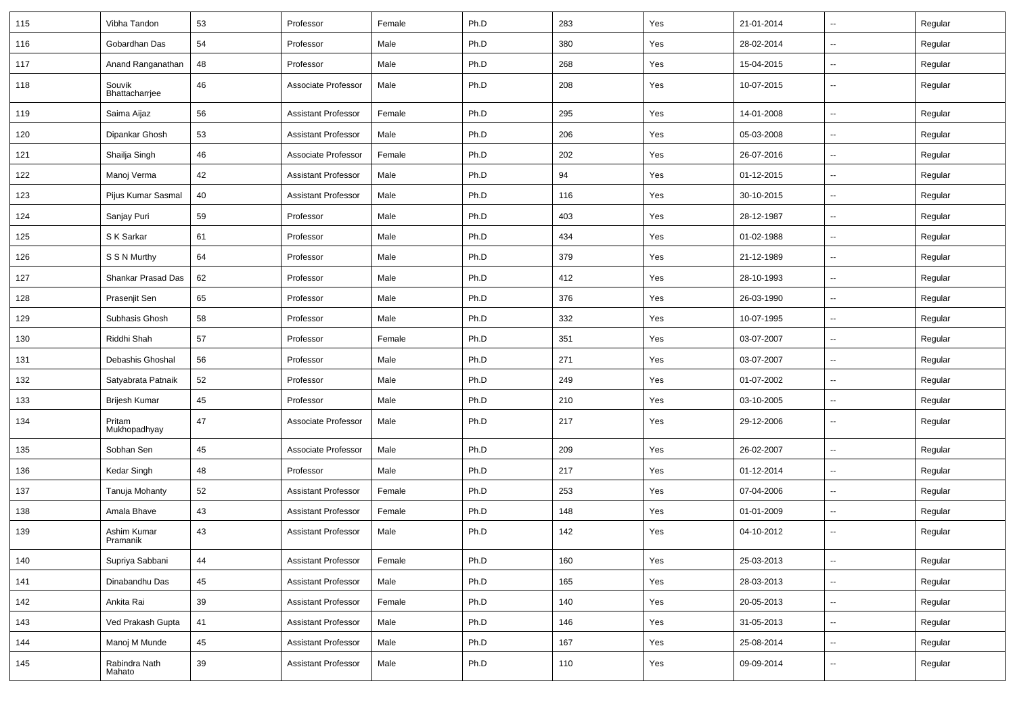| 115 | Vibha Tandon             | 53     | Professor                  | Female | Ph.D | 283 | Yes | 21-01-2014 | $\overline{\phantom{a}}$ | Regular |
|-----|--------------------------|--------|----------------------------|--------|------|-----|-----|------------|--------------------------|---------|
| 116 | Gobardhan Das            | 54     | Professor                  | Male   | Ph.D | 380 | Yes | 28-02-2014 | $\mathbf{u}$             | Regular |
| 117 | Anand Ranganathan        | 48     | Professor                  | Male   | Ph.D | 268 | Yes | 15-04-2015 | --                       | Regular |
| 118 | Souvik<br>Bhattacharrjee | 46     | Associate Professor        | Male   | Ph.D | 208 | Yes | 10-07-2015 | --                       | Regular |
| 119 | Saima Aijaz              | 56     | <b>Assistant Professor</b> | Female | Ph.D | 295 | Yes | 14-01-2008 | -−                       | Regular |
| 120 | Dipankar Ghosh           | 53     | <b>Assistant Professor</b> | Male   | Ph.D | 206 | Yes | 05-03-2008 | Ξ.                       | Regular |
| 121 | Shailja Singh            | 46     | Associate Professor        | Female | Ph.D | 202 | Yes | 26-07-2016 | $\overline{\phantom{a}}$ | Regular |
| 122 | Manoj Verma              | 42     | <b>Assistant Professor</b> | Male   | Ph.D | 94  | Yes | 01-12-2015 | ⊷.                       | Regular |
| 123 | Pijus Kumar Sasmal       | 40     | <b>Assistant Professor</b> | Male   | Ph.D | 116 | Yes | 30-10-2015 | $\sim$                   | Regular |
| 124 | Sanjay Puri              | 59     | Professor                  | Male   | Ph.D | 403 | Yes | 28-12-1987 | $\overline{\phantom{a}}$ | Regular |
| 125 | S K Sarkar               | 61     | Professor                  | Male   | Ph.D | 434 | Yes | 01-02-1988 | -−                       | Regular |
| 126 | S S N Murthy             | 64     | Professor                  | Male   | Ph.D | 379 | Yes | 21-12-1989 | $\mathbf{u}$             | Regular |
| 127 | Shankar Prasad Das       | 62     | Professor                  | Male   | Ph.D | 412 | Yes | 28-10-1993 | $\sim$                   | Regular |
| 128 | Prasenjit Sen            | 65     | Professor                  | Male   | Ph.D | 376 | Yes | 26-03-1990 | ⊷.                       | Regular |
| 129 | Subhasis Ghosh           | 58     | Professor                  | Male   | Ph.D | 332 | Yes | 10-07-1995 | Ξ.                       | Regular |
| 130 | Riddhi Shah              | 57     | Professor                  | Female | Ph.D | 351 | Yes | 03-07-2007 | $\overline{\phantom{a}}$ | Regular |
| 131 | Debashis Ghoshal         | 56     | Professor                  | Male   | Ph.D | 271 | Yes | 03-07-2007 | --                       | Regular |
| 132 | Satyabrata Patnaik       | 52     | Professor                  | Male   | Ph.D | 249 | Yes | 01-07-2002 | Ξ.                       | Regular |
| 133 | <b>Brijesh Kumar</b>     | 45     | Professor                  | Male   | Ph.D | 210 | Yes | 03-10-2005 | $\overline{\phantom{a}}$ | Regular |
| 134 | Pritam<br>Mukhopadhyay   | 47     | Associate Professor        | Male   | Ph.D | 217 | Yes | 29-12-2006 | $\overline{\phantom{a}}$ | Regular |
| 135 | Sobhan Sen               | 45     | Associate Professor        | Male   | Ph.D | 209 | Yes | 26-02-2007 | ⊷.                       | Regular |
| 136 | Kedar Singh              | 48     | Professor                  | Male   | Ph.D | 217 | Yes | 01-12-2014 | $\overline{\phantom{a}}$ | Regular |
| 137 | Tanuja Mohanty           | 52     | <b>Assistant Professor</b> | Female | Ph.D | 253 | Yes | 07-04-2006 | -−                       | Regular |
| 138 | Amala Bhave              | 43     | <b>Assistant Professor</b> | Female | Ph.D | 148 | Yes | 01-01-2009 | н.                       | Regular |
| 139 | Ashim Kumar<br>Pramanik  | 43     | <b>Assistant Professor</b> | Male   | Ph.D | 142 | Yes | 04-10-2012 | ш.                       | Regular |
| 140 | Supriya Sabbani          | 44     | <b>Assistant Professor</b> | Female | Ph.D | 160 | Yes | 25-03-2013 | $\sim$                   | Regular |
| 141 | Dinabandhu Das           | 45     | <b>Assistant Professor</b> | Male   | Ph.D | 165 | Yes | 28-03-2013 | н.                       | Regular |
| 142 | Ankita Rai               | 39     | <b>Assistant Professor</b> | Female | Ph.D | 140 | Yes | 20-05-2013 | $\overline{\phantom{a}}$ | Regular |
| 143 | Ved Prakash Gupta        | 41     | <b>Assistant Professor</b> | Male   | Ph.D | 146 | Yes | 31-05-2013 | $\overline{\phantom{a}}$ | Regular |
| 144 | Manoj M Munde            | 45     | <b>Assistant Professor</b> | Male   | Ph.D | 167 | Yes | 25-08-2014 | $\sim$                   | Regular |
| 145 | Rabindra Nath<br>Mahato  | $39\,$ | <b>Assistant Professor</b> | Male   | Ph.D | 110 | Yes | 09-09-2014 | --                       | Regular |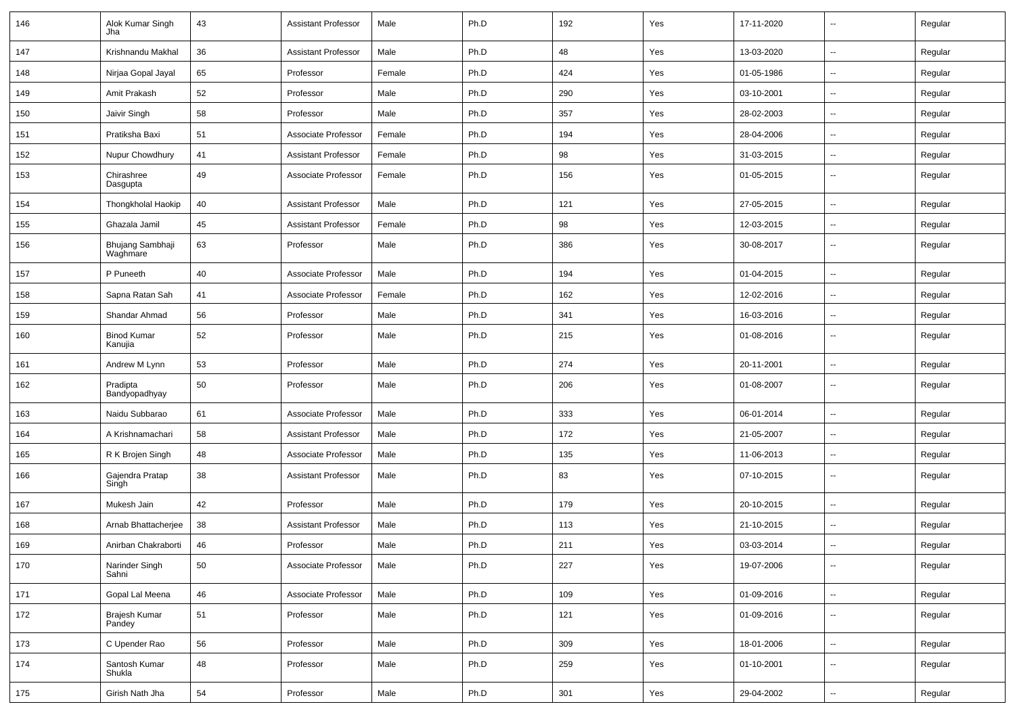| 146 | Alok Kumar Singh<br>Jha       | 43 | <b>Assistant Professor</b> | Male   | Ph.D | 192 | Yes | 17-11-2020 | $\overline{\phantom{a}}$ | Regular |
|-----|-------------------------------|----|----------------------------|--------|------|-----|-----|------------|--------------------------|---------|
| 147 | Krishnandu Makhal             | 36 | <b>Assistant Professor</b> | Male   | Ph.D | 48  | Yes | 13-03-2020 | $\overline{\phantom{a}}$ | Regular |
| 148 | Nirjaa Gopal Jayal            | 65 | Professor                  | Female | Ph.D | 424 | Yes | 01-05-1986 | --                       | Regular |
| 149 | Amit Prakash                  | 52 | Professor                  | Male   | Ph.D | 290 | Yes | 03-10-2001 | -−                       | Regular |
| 150 | Jaivir Singh                  | 58 | Professor                  | Male   | Ph.D | 357 | Yes | 28-02-2003 | $\overline{\phantom{a}}$ | Regular |
| 151 | Pratiksha Baxi                | 51 | Associate Professor        | Female | Ph.D | 194 | Yes | 28-04-2006 | --                       | Regular |
| 152 | Nupur Chowdhury               | 41 | <b>Assistant Professor</b> | Female | Ph.D | 98  | Yes | 31-03-2015 | $\overline{\phantom{a}}$ | Regular |
| 153 | Chirashree<br>Dasgupta        | 49 | Associate Professor        | Female | Ph.D | 156 | Yes | 01-05-2015 | --                       | Regular |
| 154 | Thongkholal Haokip            | 40 | <b>Assistant Professor</b> | Male   | Ph.D | 121 | Yes | 27-05-2015 | Ξ.                       | Regular |
| 155 | Ghazala Jamil                 | 45 | <b>Assistant Professor</b> | Female | Ph.D | 98  | Yes | 12-03-2015 | --                       | Regular |
| 156 | Bhujang Sambhaji<br>Waghmare  | 63 | Professor                  | Male   | Ph.D | 386 | Yes | 30-08-2017 | $\overline{\phantom{a}}$ | Regular |
| 157 | P Puneeth                     | 40 | Associate Professor        | Male   | Ph.D | 194 | Yes | 01-04-2015 | $\overline{\phantom{a}}$ | Regular |
| 158 | Sapna Ratan Sah               | 41 | Associate Professor        | Female | Ph.D | 162 | Yes | 12-02-2016 | --                       | Regular |
| 159 | Shandar Ahmad                 | 56 | Professor                  | Male   | Ph.D | 341 | Yes | 16-03-2016 | --                       | Regular |
| 160 | <b>Binod Kumar</b><br>Kanujia | 52 | Professor                  | Male   | Ph.D | 215 | Yes | 01-08-2016 | ⊷.                       | Regular |
| 161 | Andrew M Lynn                 | 53 | Professor                  | Male   | Ph.D | 274 | Yes | 20-11-2001 | $\mathbf{u}$             | Regular |
| 162 | Pradipta<br>Bandyopadhyay     | 50 | Professor                  | Male   | Ph.D | 206 | Yes | 01-08-2007 | $\overline{\phantom{a}}$ | Regular |
| 163 | Naidu Subbarao                | 61 | Associate Professor        | Male   | Ph.D | 333 | Yes | 06-01-2014 | $\overline{\phantom{a}}$ | Regular |
| 164 | A Krishnamachari              | 58 | <b>Assistant Professor</b> | Male   | Ph.D | 172 | Yes | 21-05-2007 | -−                       | Regular |
| 165 | R K Brojen Singh              | 48 | Associate Professor        | Male   | Ph.D | 135 | Yes | 11-06-2013 | $\overline{a}$           | Regular |
| 166 | Gajendra Pratap<br>Singh      | 38 | <b>Assistant Professor</b> | Male   | Ph.D | 83  | Yes | 07-10-2015 | --                       | Regular |
| 167 | Mukesh Jain                   | 42 | Professor                  | Male   | Ph.D | 179 | Yes | 20-10-2015 | --                       | Regular |
| 168 | Arnab Bhattacherjee           | 38 | <b>Assistant Professor</b> | Male   | Ph.D | 113 | Yes | 21-10-2015 | --                       | Regular |
| 169 | Anirban Chakraborti           | 46 | Professor                  | Male   | Ph.D | 211 | Yes | 03-03-2014 | $\overline{\phantom{a}}$ | Regular |
| 170 | Narinder Singh<br>Sahni       | 50 | Associate Professor        | Male   | Ph.D | 227 | Yes | 19-07-2006 | $\overline{\phantom{a}}$ | Regular |
| 171 | Gopal Lal Meena               | 46 | Associate Professor        | Male   | Ph.D | 109 | Yes | 01-09-2016 | $\overline{\phantom{a}}$ | Regular |
| 172 | Brajesh Kumar<br>Pandey       | 51 | Professor                  | Male   | Ph.D | 121 | Yes | 01-09-2016 | н.                       | Regular |
| 173 | C Upender Rao                 | 56 | Professor                  | Male   | Ph.D | 309 | Yes | 18-01-2006 | $\sim$                   | Regular |
| 174 | Santosh Kumar<br>Shukla       | 48 | Professor                  | Male   | Ph.D | 259 | Yes | 01-10-2001 | $\sim$                   | Regular |
| 175 | Girish Nath Jha               | 54 | Professor                  | Male   | Ph.D | 301 | Yes | 29-04-2002 | $\overline{\phantom{a}}$ | Regular |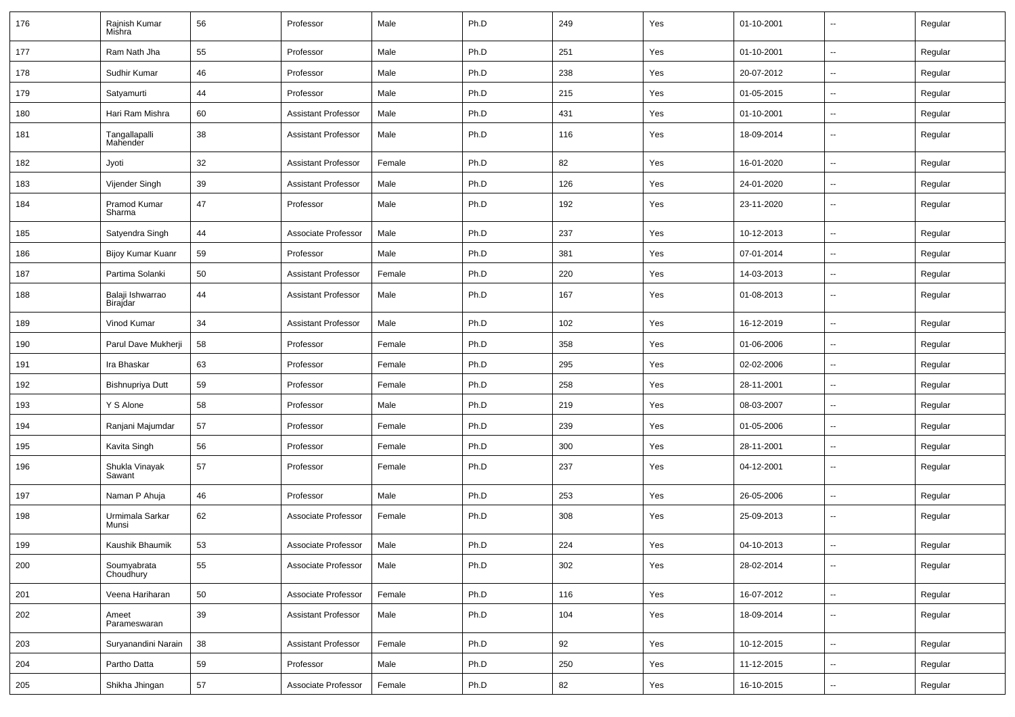| 176 | Rajnish Kumar<br>Mishra      | 56 | Professor                  | Male   | Ph.D | 249 | Yes | 01-10-2001 | $\overline{\phantom{a}}$ | Regular |
|-----|------------------------------|----|----------------------------|--------|------|-----|-----|------------|--------------------------|---------|
| 177 | Ram Nath Jha                 | 55 | Professor                  | Male   | Ph.D | 251 | Yes | 01-10-2001 | $\sim$                   | Regular |
| 178 | Sudhir Kumar                 | 46 | Professor                  | Male   | Ph.D | 238 | Yes | 20-07-2012 | н.                       | Regular |
| 179 | Satyamurti                   | 44 | Professor                  | Male   | Ph.D | 215 | Yes | 01-05-2015 | -−                       | Regular |
| 180 | Hari Ram Mishra              | 60 | <b>Assistant Professor</b> | Male   | Ph.D | 431 | Yes | 01-10-2001 | $\overline{\phantom{a}}$ | Regular |
| 181 | Tangallapalli<br>Mahender    | 38 | <b>Assistant Professor</b> | Male   | Ph.D | 116 | Yes | 18-09-2014 | --                       | Regular |
| 182 | Jyoti                        | 32 | <b>Assistant Professor</b> | Female | Ph.D | 82  | Yes | 16-01-2020 | $\overline{\phantom{a}}$ | Regular |
| 183 | Vijender Singh               | 39 | <b>Assistant Professor</b> | Male   | Ph.D | 126 | Yes | 24-01-2020 | Ξ.                       | Regular |
| 184 | Pramod Kumar<br>Sharma       | 47 | Professor                  | Male   | Ph.D | 192 | Yes | 23-11-2020 | $\overline{\phantom{a}}$ | Regular |
| 185 | Satyendra Singh              | 44 | Associate Professor        | Male   | Ph.D | 237 | Yes | 10-12-2013 | $\sim$                   | Regular |
| 186 | Bijoy Kumar Kuanr            | 59 | Professor                  | Male   | Ph.D | 381 | Yes | 07-01-2014 | -−                       | Regular |
| 187 | Partima Solanki              | 50 | <b>Assistant Professor</b> | Female | Ph.D | 220 | Yes | 14-03-2013 | $\overline{\phantom{a}}$ | Regular |
| 188 | Balaji Ishwarrao<br>Birajdar | 44 | <b>Assistant Professor</b> | Male   | Ph.D | 167 | Yes | 01-08-2013 | $\overline{\phantom{a}}$ | Regular |
| 189 | Vinod Kumar                  | 34 | <b>Assistant Professor</b> | Male   | Ph.D | 102 | Yes | 16-12-2019 | $\overline{\phantom{a}}$ | Regular |
| 190 | Parul Dave Mukherji          | 58 | Professor                  | Female | Ph.D | 358 | Yes | 01-06-2006 | --                       | Regular |
| 191 | Ira Bhaskar                  | 63 | Professor                  | Female | Ph.D | 295 | Yes | 02-02-2006 | $\mathbf{u}$             | Regular |
| 192 | Bishnupriya Dutt             | 59 | Professor                  | Female | Ph.D | 258 | Yes | 28-11-2001 | $\overline{\phantom{a}}$ | Regular |
| 193 | Y S Alone                    | 58 | Professor                  | Male   | Ph.D | 219 | Yes | 08-03-2007 | ⊷.                       | Regular |
| 194 | Ranjani Majumdar             | 57 | Professor                  | Female | Ph.D | 239 | Yes | 01-05-2006 | $\overline{\phantom{a}}$ | Regular |
| 195 | Kavita Singh                 | 56 | Professor                  | Female | Ph.D | 300 | Yes | 28-11-2001 | $\overline{\phantom{a}}$ | Regular |
| 196 | Shukla Vinayak<br>Sawant     | 57 | Professor                  | Female | Ph.D | 237 | Yes | 04-12-2001 | --                       | Regular |
| 197 | Naman P Ahuja                | 46 | Professor                  | Male   | Ph.D | 253 | Yes | 26-05-2006 | $\overline{\phantom{a}}$ | Regular |
| 198 | Urmimala Sarkar<br>Munsi     | 62 | Associate Professor        | Female | Ph.D | 308 | Yes | 25-09-2013 | $-$                      | Regular |
| 199 | Kaushik Bhaumik              | 53 | Associate Professor        | Male   | Ph.D | 224 | Yes | 04-10-2013 | ۵.                       | Regular |
| 200 | Soumyabrata<br>Choudhury     | 55 | Associate Professor        | Male   | Ph.D | 302 | Yes | 28-02-2014 | $\sim$                   | Regular |
| 201 | Veena Hariharan              | 50 | Associate Professor        | Female | Ph.D | 116 | Yes | 16-07-2012 | $\overline{\phantom{a}}$ | Regular |
| 202 | Ameet<br>Parameswaran        | 39 | Assistant Professor        | Male   | Ph.D | 104 | Yes | 18-09-2014 | н.                       | Regular |
| 203 | Suryanandini Narain          | 38 | <b>Assistant Professor</b> | Female | Ph.D | 92  | Yes | 10-12-2015 | $\sim$                   | Regular |
| 204 | Partho Datta                 | 59 | Professor                  | Male   | Ph.D | 250 | Yes | 11-12-2015 | Ξ.                       | Regular |
| 205 | Shikha Jhingan               | 57 | Associate Professor        | Female | Ph.D | 82  | Yes | 16-10-2015 | н.                       | Regular |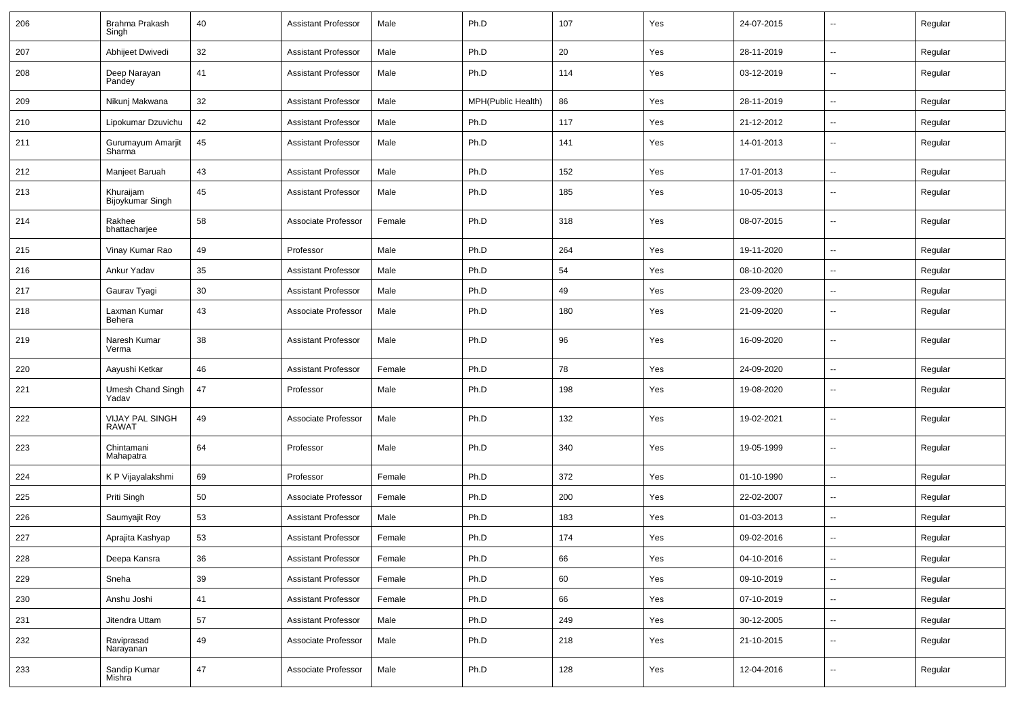| 206 | Brahma Prakash<br>Singh                  | 40 | <b>Assistant Professor</b> | Male   | Ph.D               | 107 | Yes | 24-07-2015 | $\overline{\phantom{a}}$ | Regular |
|-----|------------------------------------------|----|----------------------------|--------|--------------------|-----|-----|------------|--------------------------|---------|
| 207 | Abhijeet Dwivedi                         | 32 | <b>Assistant Professor</b> | Male   | Ph.D               | 20  | Yes | 28-11-2019 | $\sim$                   | Regular |
| 208 | Deep Narayan<br>Pandey                   | 41 | <b>Assistant Professor</b> | Male   | Ph.D               | 114 | Yes | 03-12-2019 | $\overline{\phantom{a}}$ | Regular |
| 209 | Nikunj Makwana                           | 32 | <b>Assistant Professor</b> | Male   | MPH(Public Health) | 86  | Yes | 28-11-2019 | $\sim$                   | Regular |
| 210 | Lipokumar Dzuvichu                       | 42 | <b>Assistant Professor</b> | Male   | Ph.D               | 117 | Yes | 21-12-2012 | $\overline{\phantom{a}}$ | Regular |
| 211 | Gurumayum Amarjit<br>Sharma <sup>®</sup> | 45 | <b>Assistant Professor</b> | Male   | Ph.D               | 141 | Yes | 14-01-2013 | --                       | Regular |
| 212 | Manjeet Baruah                           | 43 | <b>Assistant Professor</b> | Male   | Ph.D               | 152 | Yes | 17-01-2013 | $\overline{\phantom{a}}$ | Regular |
| 213 | Khuraijam<br>Bijoykumar Singh            | 45 | <b>Assistant Professor</b> | Male   | Ph.D               | 185 | Yes | 10-05-2013 | $\overline{\phantom{a}}$ | Regular |
| 214 | Rakhee<br>bhattacharjee                  | 58 | Associate Professor        | Female | Ph.D               | 318 | Yes | 08-07-2015 | $\sim$                   | Regular |
| 215 | Vinay Kumar Rao                          | 49 | Professor                  | Male   | Ph.D               | 264 | Yes | 19-11-2020 | $\sim$                   | Regular |
| 216 | Ankur Yadav                              | 35 | <b>Assistant Professor</b> | Male   | Ph.D               | 54  | Yes | 08-10-2020 | $\sim$                   | Regular |
| 217 | Gaurav Tyagi                             | 30 | <b>Assistant Professor</b> | Male   | Ph.D               | 49  | Yes | 23-09-2020 | ⊷.                       | Regular |
| 218 | Laxman Kumar<br>Behera                   | 43 | Associate Professor        | Male   | Ph.D               | 180 | Yes | 21-09-2020 | $\sim$                   | Regular |
| 219 | Naresh Kumar<br>Verma                    | 38 | <b>Assistant Professor</b> | Male   | Ph.D               | 96  | Yes | 16-09-2020 | $\sim$                   | Regular |
| 220 | Aayushi Ketkar                           | 46 | Assistant Professor        | Female | Ph.D               | 78  | Yes | 24-09-2020 | $\sim$                   | Regular |
| 221 | Umesh Chand Singh<br>Yadav               | 47 | Professor                  | Male   | Ph.D               | 198 | Yes | 19-08-2020 | $\overline{\phantom{a}}$ | Regular |
| 222 | VIJAY PAL SINGH<br><b>RAWAT</b>          | 49 | Associate Professor        | Male   | Ph.D               | 132 | Yes | 19-02-2021 | $\overline{\phantom{a}}$ | Regular |
| 223 | Chintamani<br>Mahapatra                  | 64 | Professor                  | Male   | Ph.D               | 340 | Yes | 19-05-1999 | $\overline{\phantom{a}}$ | Regular |
| 224 | K P Vijayalakshmi                        | 69 | Professor                  | Female | Ph.D               | 372 | Yes | 01-10-1990 | $\overline{\phantom{a}}$ | Regular |
| 225 | Priti Singh                              | 50 | Associate Professor        | Female | Ph.D               | 200 | Yes | 22-02-2007 | $\overline{\phantom{a}}$ | Regular |
| 226 | Saumyajit Roy                            | 53 | <b>Assistant Professor</b> | Male   | Ph.D               | 183 | Yes | 01-03-2013 | $\sim$                   | Regular |
| 227 | Aprajita Kashyap                         | 53 | <b>Assistant Professor</b> | Female | Ph.D               | 174 | Yes | 09-02-2016 | $\sim$                   | Regular |
| 228 | Deepa Kansra                             | 36 | Assistant Professor        | Female | Ph.D               | 66  | Yes | 04-10-2016 | $\overline{\phantom{a}}$ | Regular |
| 229 | Sneha                                    | 39 | <b>Assistant Professor</b> | Female | Ph.D               | 60  | Yes | 09-10-2019 | $\sim$                   | Regular |
| 230 | Anshu Joshi                              | 41 | <b>Assistant Professor</b> | Female | Ph.D               | 66  | Yes | 07-10-2019 | $\sim$                   | Regular |
| 231 | Jitendra Uttam                           | 57 | <b>Assistant Professor</b> | Male   | Ph.D               | 249 | Yes | 30-12-2005 | $\overline{\phantom{a}}$ | Regular |
| 232 | Raviprasad<br>Narayanan                  | 49 | Associate Professor        | Male   | Ph.D               | 218 | Yes | 21-10-2015 | $\sim$                   | Regular |
| 233 | Sandip Kumar<br>Mishra                   | 47 | Associate Professor        | Male   | Ph.D               | 128 | Yes | 12-04-2016 | $\sim$                   | Regular |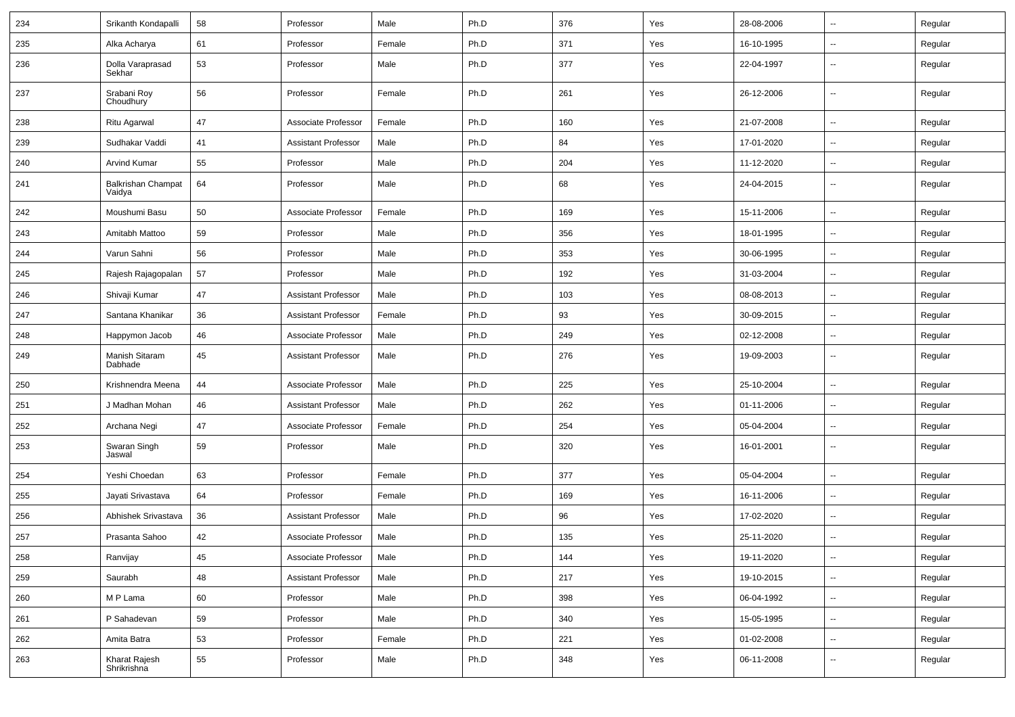| 234 | Srikanth Kondapalli                 | 58 | Professor                  | Male   | Ph.D | 376 | Yes | 28-08-2006 | $\overline{\phantom{a}}$ | Regular |
|-----|-------------------------------------|----|----------------------------|--------|------|-----|-----|------------|--------------------------|---------|
| 235 | Alka Acharya                        | 61 | Professor                  | Female | Ph.D | 371 | Yes | 16-10-1995 | --                       | Regular |
| 236 | Dolla Varaprasad<br>Sekhar          | 53 | Professor                  | Male   | Ph.D | 377 | Yes | 22-04-1997 | $\overline{\phantom{a}}$ | Regular |
| 237 | Srabani Roy<br>Choudhury            | 56 | Professor                  | Female | Ph.D | 261 | Yes | 26-12-2006 | $\overline{\phantom{a}}$ | Regular |
| 238 | Ritu Agarwal                        | 47 | Associate Professor        | Female | Ph.D | 160 | Yes | 21-07-2008 | $\overline{\phantom{a}}$ | Regular |
| 239 | Sudhakar Vaddi                      | 41 | <b>Assistant Professor</b> | Male   | Ph.D | 84  | Yes | 17-01-2020 | $\overline{\phantom{a}}$ | Regular |
| 240 | <b>Arvind Kumar</b>                 | 55 | Professor                  | Male   | Ph.D | 204 | Yes | 11-12-2020 | $\overline{\phantom{a}}$ | Regular |
| 241 | <b>Balkrishan Champat</b><br>Vaidya | 64 | Professor                  | Male   | Ph.D | 68  | Yes | 24-04-2015 | $\overline{\phantom{a}}$ | Regular |
| 242 | Moushumi Basu                       | 50 | Associate Professor        | Female | Ph.D | 169 | Yes | 15-11-2006 | $\overline{\phantom{a}}$ | Regular |
| 243 | Amitabh Mattoo                      | 59 | Professor                  | Male   | Ph.D | 356 | Yes | 18-01-1995 | ⊷.                       | Regular |
| 244 | Varun Sahni                         | 56 | Professor                  | Male   | Ph.D | 353 | Yes | 30-06-1995 | --                       | Regular |
| 245 | Rajesh Rajagopalan                  | 57 | Professor                  | Male   | Ph.D | 192 | Yes | 31-03-2004 | -−                       | Regular |
| 246 | Shivaji Kumar                       | 47 | <b>Assistant Professor</b> | Male   | Ph.D | 103 | Yes | 08-08-2013 | $\overline{a}$           | Regular |
| 247 | Santana Khanikar                    | 36 | <b>Assistant Professor</b> | Female | Ph.D | 93  | Yes | 30-09-2015 | --                       | Regular |
| 248 | Happymon Jacob                      | 46 | Associate Professor        | Male   | Ph.D | 249 | Yes | 02-12-2008 | $\overline{\phantom{a}}$ | Regular |
| 249 | Manish Sitaram<br>Dabhade           | 45 | <b>Assistant Professor</b> | Male   | Ph.D | 276 | Yes | 19-09-2003 | ⊶.                       | Regular |
| 250 | Krishnendra Meena                   | 44 | Associate Professor        | Male   | Ph.D | 225 | Yes | 25-10-2004 | ⊷.                       | Regular |
| 251 | J Madhan Mohan                      | 46 | <b>Assistant Professor</b> | Male   | Ph.D | 262 | Yes | 01-11-2006 | --                       | Regular |
| 252 | Archana Negi                        | 47 | Associate Professor        | Female | Ph.D | 254 | Yes | 05-04-2004 | -−                       | Regular |
| 253 | Swaran Singh<br>Jaswal              | 59 | Professor                  | Male   | Ph.D | 320 | Yes | 16-01-2001 | $\overline{\phantom{a}}$ | Regular |
| 254 | Yeshi Choedan                       | 63 | Professor                  | Female | Ph.D | 377 | Yes | 05-04-2004 | $\overline{a}$           | Regular |
| 255 | Jayati Srivastava                   | 64 | Professor                  | Female | Ph.D | 169 | Yes | 16-11-2006 | --                       | Regular |
| 256 | Abhishek Srivastava                 | 36 | <b>Assistant Professor</b> | Male   | Ph.D | 96  | Yes | 17-02-2020 | $\overline{\phantom{a}}$ | Regular |
| 257 | Prasanta Sahoo                      | 42 | Associate Professor        | Male   | Ph.D | 135 | Yes | 25-11-2020 | $\overline{\phantom{a}}$ | Regular |
| 258 | Ranvijay                            | 45 | Associate Professor        | Male   | Ph.D | 144 | Yes | 19-11-2020 | $\overline{\phantom{a}}$ | Regular |
| 259 | Saurabh                             | 48 | <b>Assistant Professor</b> | Male   | Ph.D | 217 | Yes | 19-10-2015 | $\overline{\phantom{a}}$ | Regular |
| 260 | M P Lama                            | 60 | Professor                  | Male   | Ph.D | 398 | Yes | 06-04-1992 | $\sim$                   | Regular |
| 261 | P Sahadevan                         | 59 | Professor                  | Male   | Ph.D | 340 | Yes | 15-05-1995 | Щ,                       | Regular |
| 262 | Amita Batra                         | 53 | Professor                  | Female | Ph.D | 221 | Yes | 01-02-2008 | ш.                       | Regular |
| 263 | Kharat Rajesh<br>Shrikrishna        | 55 | Professor                  | Male   | Ph.D | 348 | Yes | 06-11-2008 | −−                       | Regular |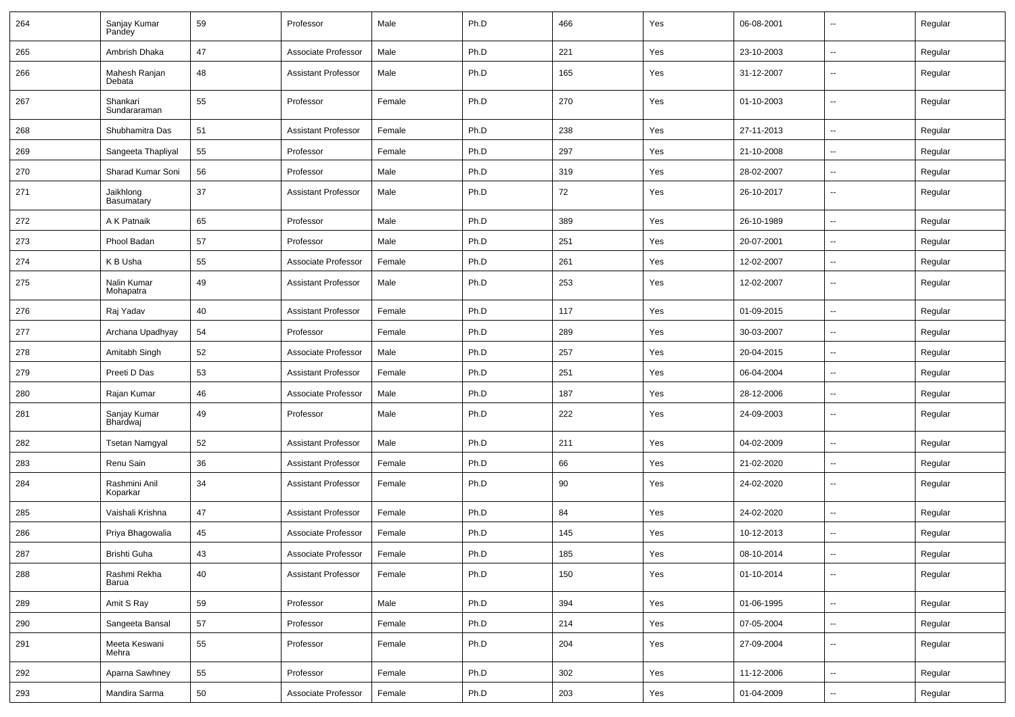| 264 | Sanjay Kumar<br>Pandey    | 59 | Professor                  | Male   | Ph.D | 466 | Yes | 06-08-2001 | $\overline{\phantom{a}}$ | Regular |
|-----|---------------------------|----|----------------------------|--------|------|-----|-----|------------|--------------------------|---------|
| 265 | Ambrish Dhaka             | 47 | Associate Professor        | Male   | Ph.D | 221 | Yes | 23-10-2003 | $\sim$                   | Regular |
| 266 | Mahesh Ranjan<br>Debata   | 48 | <b>Assistant Professor</b> | Male   | Ph.D | 165 | Yes | 31-12-2007 | --                       | Regular |
| 267 | Shankari<br>Sundararaman  | 55 | Professor                  | Female | Ph.D | 270 | Yes | 01-10-2003 | $\overline{\phantom{a}}$ | Regular |
| 268 | Shubhamitra Das           | 51 | <b>Assistant Professor</b> | Female | Ph.D | 238 | Yes | 27-11-2013 | -−                       | Regular |
| 269 | Sangeeta Thapliyal        | 55 | Professor                  | Female | Ph.D | 297 | Yes | 21-10-2008 | $\overline{\phantom{a}}$ | Regular |
| 270 | Sharad Kumar Soni         | 56 | Professor                  | Male   | Ph.D | 319 | Yes | 28-02-2007 | $\sim$                   | Regular |
| 271 | Jaikhlong<br>Basumatary   | 37 | <b>Assistant Professor</b> | Male   | Ph.D | 72  | Yes | 26-10-2017 | $\overline{\phantom{a}}$ | Regular |
| 272 | A K Patnaik               | 65 | Professor                  | Male   | Ph.D | 389 | Yes | 26-10-1989 | $\overline{\phantom{a}}$ | Regular |
| 273 | Phool Badan               | 57 | Professor                  | Male   | Ph.D | 251 | Yes | 20-07-2001 | $\sim$                   | Regular |
| 274 | K B Usha                  | 55 | Associate Professor        | Female | Ph.D | 261 | Yes | 12-02-2007 | $\sim$                   | Regular |
| 275 | Nalin Kumar<br>Mohapatra  | 49 | <b>Assistant Professor</b> | Male   | Ph.D | 253 | Yes | 12-02-2007 | $\overline{\phantom{a}}$ | Regular |
| 276 | Raj Yadav                 | 40 | <b>Assistant Professor</b> | Female | Ph.D | 117 | Yes | 01-09-2015 | $\overline{\phantom{a}}$ | Regular |
| 277 | Archana Upadhyay          | 54 | Professor                  | Female | Ph.D | 289 | Yes | 30-03-2007 | $\overline{\phantom{a}}$ | Regular |
| 278 | Amitabh Singh             | 52 | Associate Professor        | Male   | Ph.D | 257 | Yes | 20-04-2015 | $\overline{\phantom{a}}$ | Regular |
| 279 | Preeti D Das              | 53 | <b>Assistant Professor</b> | Female | Ph.D | 251 | Yes | 06-04-2004 | $\overline{\phantom{a}}$ | Regular |
| 280 | Rajan Kumar               | 46 | Associate Professor        | Male   | Ph.D | 187 | Yes | 28-12-2006 | $\overline{a}$           | Regular |
| 281 | Sanjay Kumar<br>Bhardwaj  | 49 | Professor                  | Male   | Ph.D | 222 | Yes | 24-09-2003 | $\sim$                   | Regular |
| 282 | Tsetan Namgyal            | 52 | <b>Assistant Professor</b> | Male   | Ph.D | 211 | Yes | 04-02-2009 | н.                       | Regular |
| 283 | Renu Sain                 | 36 | <b>Assistant Professor</b> | Female | Ph.D | 66  | Yes | 21-02-2020 | --                       | Regular |
| 284 | Rashmini Anil<br>Koparkar | 34 | <b>Assistant Professor</b> | Female | Ph.D | 90  | Yes | 24-02-2020 | $\overline{\phantom{a}}$ | Regular |
| 285 | Vaishali Krishna          | 47 | <b>Assistant Professor</b> | Female | Ph.D | 84  | Yes | 24-02-2020 |                          | Regular |
| 286 | Priya Bhagowalia          | 45 | Associate Professor        | Female | Ph.D | 145 | Yes | 10-12-2013 | -−                       | Regular |
| 287 | Brishti Guha              | 43 | Associate Professor        | Female | Ph.D | 185 | Yes | 08-10-2014 |                          | Regular |
| 288 | Rashmi Rekha<br>Barua     | 40 | <b>Assistant Professor</b> | Female | Ph.D | 150 | Yes | 01-10-2014 | $\sim$                   | Regular |
| 289 | Amit S Ray                | 59 | Professor                  | Male   | Ph.D | 394 | Yes | 01-06-1995 | $\sim$                   | Regular |
| 290 | Sangeeta Bansal           | 57 | Professor                  | Female | Ph.D | 214 | Yes | 07-05-2004 | $\sim$                   | Regular |
| 291 | Meeta Keswani<br>Mehra    | 55 | Professor                  | Female | Ph.D | 204 | Yes | 27-09-2004 | $\sim$                   | Regular |
| 292 | Aparna Sawhney            | 55 | Professor                  | Female | Ph.D | 302 | Yes | 11-12-2006 | $\sim$                   | Regular |
| 293 | Mandira Sarma             | 50 | Associate Professor        | Female | Ph.D | 203 | Yes | 01-04-2009 | --                       | Regular |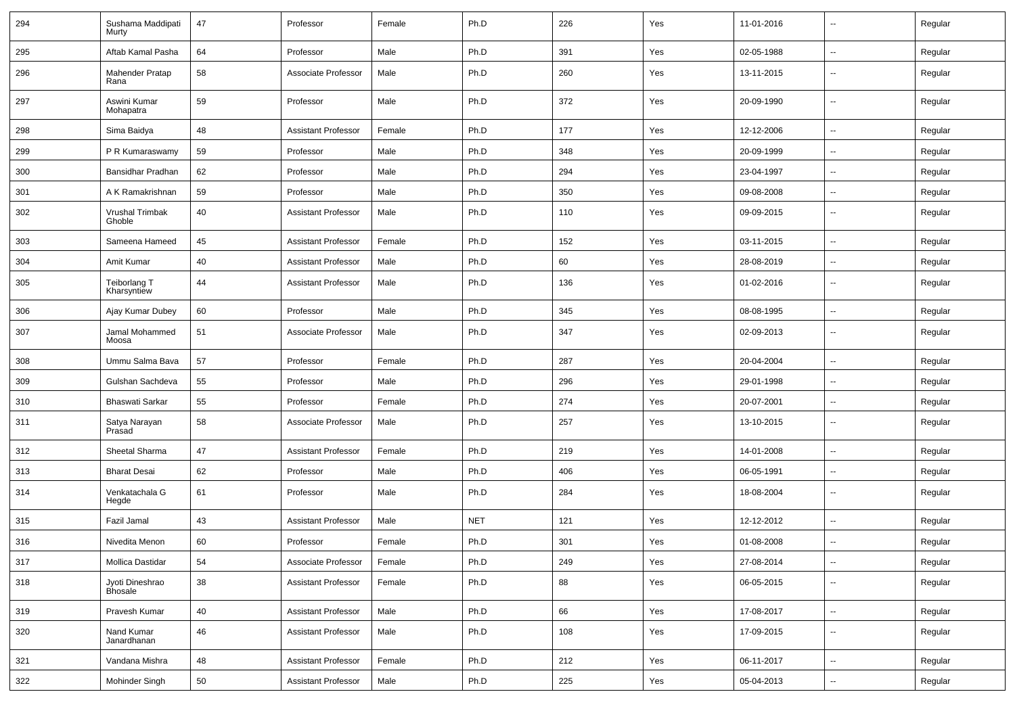| 294 | Sushama Maddipati<br>Murty        | 47 | Professor                  | Female | Ph.D       | 226 | Yes | 11-01-2016 | $\overline{\phantom{a}}$ | Regular |
|-----|-----------------------------------|----|----------------------------|--------|------------|-----|-----|------------|--------------------------|---------|
| 295 | Aftab Kamal Pasha                 | 64 | Professor                  | Male   | Ph.D       | 391 | Yes | 02-05-1988 | $\sim$                   | Regular |
| 296 | <b>Mahender Pratap</b><br>Rana    | 58 | Associate Professor        | Male   | Ph.D       | 260 | Yes | 13-11-2015 | --                       | Regular |
| 297 | Aswini Kumar<br>Mohapatra         | 59 | Professor                  | Male   | Ph.D       | 372 | Yes | 20-09-1990 | $\overline{\phantom{a}}$ | Regular |
| 298 | Sima Baidya                       | 48 | <b>Assistant Professor</b> | Female | Ph.D       | 177 | Yes | 12-12-2006 | -−                       | Regular |
| 299 | P R Kumaraswamy                   | 59 | Professor                  | Male   | Ph.D       | 348 | Yes | 20-09-1999 | $\overline{\phantom{a}}$ | Regular |
| 300 | Bansidhar Pradhan                 | 62 | Professor                  | Male   | Ph.D       | 294 | Yes | 23-04-1997 | $\overline{\phantom{a}}$ | Regular |
| 301 | A K Ramakrishnan                  | 59 | Professor                  | Male   | Ph.D       | 350 | Yes | 09-08-2008 | $\overline{\phantom{a}}$ | Regular |
| 302 | Vrushal Trimbak<br>Ghoble         | 40 | <b>Assistant Professor</b> | Male   | Ph.D       | 110 | Yes | 09-09-2015 | $\overline{\phantom{a}}$ | Regular |
| 303 | Sameena Hameed                    | 45 | <b>Assistant Professor</b> | Female | Ph.D       | 152 | Yes | 03-11-2015 | $\overline{\phantom{a}}$ | Regular |
| 304 | Amit Kumar                        | 40 | <b>Assistant Professor</b> | Male   | Ph.D       | 60  | Yes | 28-08-2019 | ⊷.                       | Regular |
| 305 | Teiborlang T<br>Kharsyntiew       | 44 | <b>Assistant Professor</b> | Male   | Ph.D       | 136 | Yes | 01-02-2016 | $\overline{\phantom{a}}$ | Regular |
| 306 | Ajay Kumar Dubey                  | 60 | Professor                  | Male   | Ph.D       | 345 | Yes | 08-08-1995 | $\overline{\phantom{a}}$ | Regular |
| 307 | Jamal Mohammed<br>Moosa           | 51 | Associate Professor        | Male   | Ph.D       | 347 | Yes | 02-09-2013 | --                       | Regular |
| 308 | Ummu Salma Bava                   | 57 | Professor                  | Female | Ph.D       | 287 | Yes | 20-04-2004 | -−                       | Regular |
| 309 | Gulshan Sachdeva                  | 55 | Professor                  | Male   | Ph.D       | 296 | Yes | 29-01-1998 | $\overline{\phantom{a}}$ | Regular |
| 310 | <b>Bhaswati Sarkar</b>            | 55 | Professor                  | Female | Ph.D       | 274 | Yes | 20-07-2001 | -−                       | Regular |
| 311 | Satya Narayan<br>Prasad           | 58 | Associate Professor        | Male   | Ph.D       | 257 | Yes | 13-10-2015 | ⊷.                       | Regular |
| 312 | Sheetal Sharma                    | 47 | <b>Assistant Professor</b> | Female | Ph.D       | 219 | Yes | 14-01-2008 | $\overline{\phantom{a}}$ | Regular |
| 313 | <b>Bharat Desai</b>               | 62 | Professor                  | Male   | Ph.D       | 406 | Yes | 06-05-1991 | ⊷.                       | Regular |
| 314 | Venkatachala G<br>Hegde           | 61 | Professor                  | Male   | Ph.D       | 284 | Yes | 18-08-2004 | $\overline{\phantom{a}}$ | Regular |
| 315 | Fazil Jamal                       | 43 | <b>Assistant Professor</b> | Male   | <b>NET</b> | 121 | Yes | 12-12-2012 | $\overline{\phantom{a}}$ | Regular |
| 316 | Nivedita Menon                    | 60 | Professor                  | Female | Ph.D       | 301 | Yes | 01-08-2008 | --                       | Regular |
| 317 | Mollica Dastidar                  | 54 | Associate Professor        | Female | Ph.D       | 249 | Yes | 27-08-2014 | Щ,                       | Regular |
| 318 | Jyoti Dineshrao<br><b>Bhosale</b> | 38 | <b>Assistant Professor</b> | Female | Ph.D       | 88  | Yes | 06-05-2015 | ц.                       | Regular |
| 319 | Pravesh Kumar                     | 40 | <b>Assistant Professor</b> | Male   | Ph.D       | 66  | Yes | 17-08-2017 | н.                       | Regular |
| 320 | Nand Kumar<br>Janardhanan         | 46 | <b>Assistant Professor</b> | Male   | Ph.D       | 108 | Yes | 17-09-2015 | $\sim$                   | Regular |
| 321 | Vandana Mishra                    | 48 | <b>Assistant Professor</b> | Female | Ph.D       | 212 | Yes | 06-11-2017 | н.                       | Regular |
| 322 | Mohinder Singh                    | 50 | <b>Assistant Professor</b> | Male   | Ph.D       | 225 | Yes | 05-04-2013 | ₩,                       | Regular |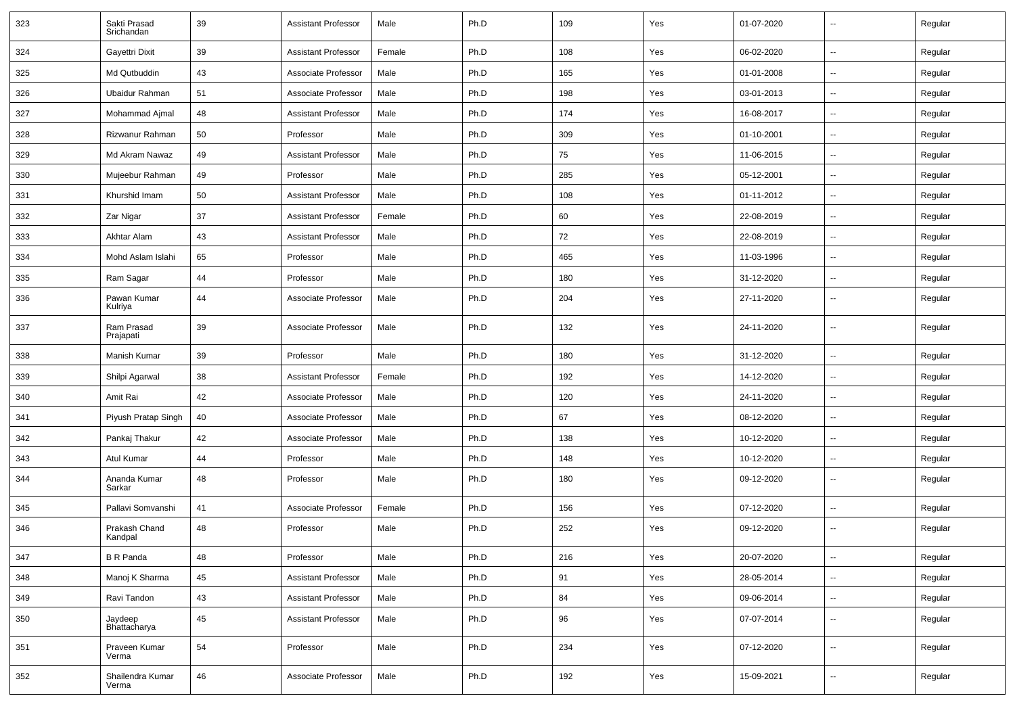| 323 | Sakti Prasad<br>Srichandan | 39 | <b>Assistant Professor</b> | Male   | Ph.D | 109 | Yes | 01-07-2020 | $\overline{\phantom{a}}$ | Regular |
|-----|----------------------------|----|----------------------------|--------|------|-----|-----|------------|--------------------------|---------|
| 324 | Gayettri Dixit             | 39 | <b>Assistant Professor</b> | Female | Ph.D | 108 | Yes | 06-02-2020 | $\sim$                   | Regular |
| 325 | Md Qutbuddin               | 43 | Associate Professor        | Male   | Ph.D | 165 | Yes | 01-01-2008 | --                       | Regular |
| 326 | Ubaidur Rahman             | 51 | Associate Professor        | Male   | Ph.D | 198 | Yes | 03-01-2013 | -−                       | Regular |
| 327 | Mohammad Ajmal             | 48 | <b>Assistant Professor</b> | Male   | Ph.D | 174 | Yes | 16-08-2017 | $\overline{a}$           | Regular |
| 328 | Rizwanur Rahman            | 50 | Professor                  | Male   | Ph.D | 309 | Yes | 01-10-2001 | -−                       | Regular |
| 329 | Md Akram Nawaz             | 49 | <b>Assistant Professor</b> | Male   | Ph.D | 75  | Yes | 11-06-2015 | $\overline{\phantom{a}}$ | Regular |
| 330 | Mujeebur Rahman            | 49 | Professor                  | Male   | Ph.D | 285 | Yes | 05-12-2001 | ⊷.                       | Regular |
| 331 | Khurshid Imam              | 50 | <b>Assistant Professor</b> | Male   | Ph.D | 108 | Yes | 01-11-2012 | --                       | Regular |
| 332 | Zar Nigar                  | 37 | <b>Assistant Professor</b> | Female | Ph.D | 60  | Yes | 22-08-2019 | -−                       | Regular |
| 333 | Akhtar Alam                | 43 | <b>Assistant Professor</b> | Male   | Ph.D | 72  | Yes | 22-08-2019 | --                       | Regular |
| 334 | Mohd Aslam Islahi          | 65 | Professor                  | Male   | Ph.D | 465 | Yes | 11-03-1996 | $\overline{a}$           | Regular |
| 335 | Ram Sagar                  | 44 | Professor                  | Male   | Ph.D | 180 | Yes | 31-12-2020 | $\overline{\phantom{a}}$ | Regular |
| 336 | Pawan Kumar<br>Kulriya     | 44 | Associate Professor        | Male   | Ph.D | 204 | Yes | 27-11-2020 | $\overline{\phantom{a}}$ | Regular |
| 337 | Ram Prasad<br>Prajapati    | 39 | Associate Professor        | Male   | Ph.D | 132 | Yes | 24-11-2020 | ⊷.                       | Regular |
| 338 | Manish Kumar               | 39 | Professor                  | Male   | Ph.D | 180 | Yes | 31-12-2020 | $\sim$                   | Regular |
| 339 | Shilpi Agarwal             | 38 | <b>Assistant Professor</b> | Female | Ph.D | 192 | Yes | 14-12-2020 | --                       | Regular |
| 340 | Amit Rai                   | 42 | Associate Professor        | Male   | Ph.D | 120 | Yes | 24-11-2020 | -−                       | Regular |
| 341 | Piyush Pratap Singh        | 40 | Associate Professor        | Male   | Ph.D | 67  | Yes | 08-12-2020 | $\overline{\phantom{a}}$ | Regular |
| 342 | Pankaj Thakur              | 42 | Associate Professor        | Male   | Ph.D | 138 | Yes | 10-12-2020 | $\overline{\phantom{a}}$ | Regular |
| 343 | Atul Kumar                 | 44 | Professor                  | Male   | Ph.D | 148 | Yes | 10-12-2020 | -−                       | Regular |
| 344 | Ananda Kumar<br>Sarkar     | 48 | Professor                  | Male   | Ph.D | 180 | Yes | 09-12-2020 | $\overline{\phantom{a}}$ | Regular |
| 345 | Pallavi Somvanshi          | 41 | Associate Professor        | Female | Ph.D | 156 | Yes | 07-12-2020 | $\sim$                   | Regular |
| 346 | Prakash Chand<br>Kandpal   | 48 | Professor                  | Male   | Ph.D | 252 | Yes | 09-12-2020 | --                       | Regular |
| 347 | B R Panda                  | 48 | Professor                  | Male   | Ph.D | 216 | Yes | 20-07-2020 | $\sim$                   | Regular |
| 348 | Manoj K Sharma             | 45 | <b>Assistant Professor</b> | Male   | Ph.D | 91  | Yes | 28-05-2014 | н.                       | Regular |
| 349 | Ravi Tandon                | 43 | <b>Assistant Professor</b> | Male   | Ph.D | 84  | Yes | 09-06-2014 | Ξ.                       | Regular |
| 350 | Jaydeep<br>Bhattacharya    | 45 | <b>Assistant Professor</b> | Male   | Ph.D | 96  | Yes | 07-07-2014 | $\overline{\phantom{a}}$ | Regular |
| 351 | Praveen Kumar<br>Verma     | 54 | Professor                  | Male   | Ph.D | 234 | Yes | 07-12-2020 | ш.                       | Regular |
| 352 | Shailendra Kumar<br>Verma  | 46 | Associate Professor        | Male   | Ph.D | 192 | Yes | 15-09-2021 | $\overline{\phantom{a}}$ | Regular |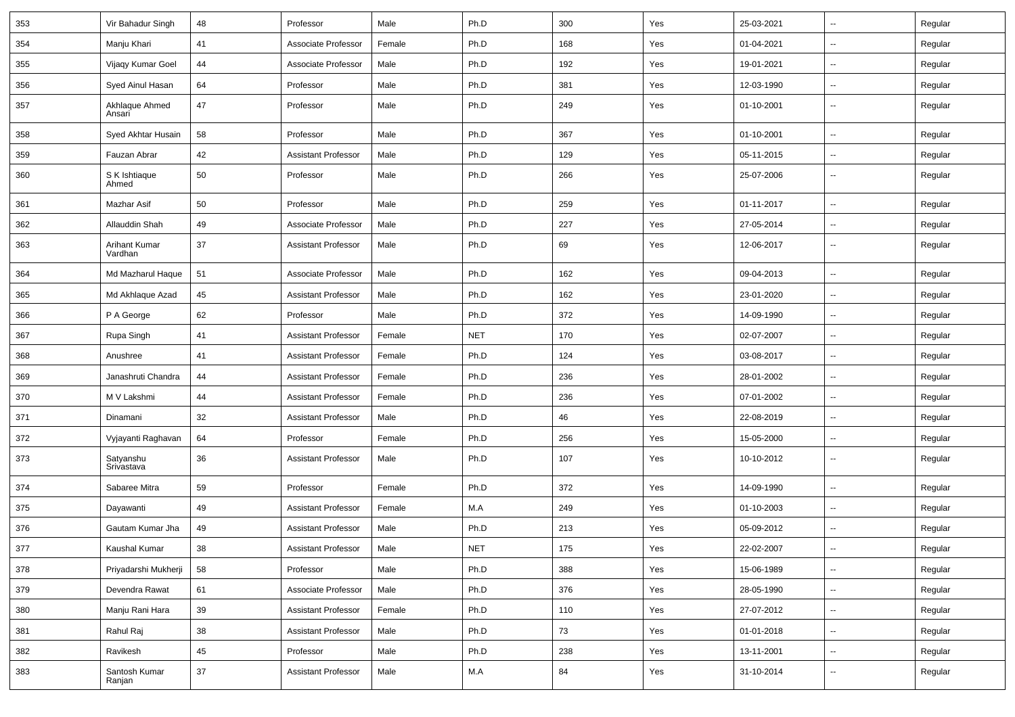| 353 | Vir Bahadur Singh        | 48 | Professor                  | Male   | Ph.D       | 300 | Yes | 25-03-2021 | $\overline{\phantom{a}}$ | Regular |
|-----|--------------------------|----|----------------------------|--------|------------|-----|-----|------------|--------------------------|---------|
| 354 | Manju Khari              | 41 | Associate Professor        | Female | Ph.D       | 168 | Yes | 01-04-2021 | -−                       | Regular |
| 355 | Vijaqy Kumar Goel        | 44 | Associate Professor        | Male   | Ph.D       | 192 | Yes | 19-01-2021 | $\overline{\phantom{a}}$ | Regular |
| 356 | Syed Ainul Hasan         | 64 | Professor                  | Male   | Ph.D       | 381 | Yes | 12-03-1990 | $\overline{a}$           | Regular |
| 357 | Akhlaque Ahmed<br>Ansari | 47 | Professor                  | Male   | Ph.D       | 249 | Yes | 01-10-2001 | --                       | Regular |
| 358 | Syed Akhtar Husain       | 58 | Professor                  | Male   | Ph.D       | 367 | Yes | 01-10-2001 | $\overline{\phantom{a}}$ | Regular |
| 359 | Fauzan Abrar             | 42 | <b>Assistant Professor</b> | Male   | Ph.D       | 129 | Yes | 05-11-2015 | $\overline{\phantom{a}}$ | Regular |
| 360 | S K Ishtiaque<br>Ahmed   | 50 | Professor                  | Male   | Ph.D       | 266 | Yes | 25-07-2006 | --                       | Regular |
| 361 | Mazhar Asif              | 50 | Professor                  | Male   | Ph.D       | 259 | Yes | 01-11-2017 | Ξ.                       | Regular |
| 362 | Allauddin Shah           | 49 | Associate Professor        | Male   | Ph.D       | 227 | Yes | 27-05-2014 | --                       | Regular |
| 363 | Arihant Kumar<br>Vardhan | 37 | <b>Assistant Professor</b> | Male   | Ph.D       | 69  | Yes | 12-06-2017 | $\overline{\phantom{a}}$ | Regular |
| 364 | Md Mazharul Haque        | 51 | Associate Professor        | Male   | Ph.D       | 162 | Yes | 09-04-2013 | $\overline{\phantom{a}}$ | Regular |
| 365 | Md Akhlaque Azad         | 45 | <b>Assistant Professor</b> | Male   | Ph.D       | 162 | Yes | 23-01-2020 | $\overline{a}$           | Regular |
| 366 | P A George               | 62 | Professor                  | Male   | Ph.D       | 372 | Yes | 14-09-1990 | --                       | Regular |
| 367 | Rupa Singh               | 41 | <b>Assistant Professor</b> | Female | <b>NET</b> | 170 | Yes | 02-07-2007 | Ξ.                       | Regular |
| 368 | Anushree                 | 41 | <b>Assistant Professor</b> | Female | Ph.D       | 124 | Yes | 03-08-2017 | ⊷.                       | Regular |
| 369 | Janashruti Chandra       | 44 | <b>Assistant Professor</b> | Female | Ph.D       | 236 | Yes | 28-01-2002 | -−                       | Regular |
| 370 | M V Lakshmi              | 44 | <b>Assistant Professor</b> | Female | Ph.D       | 236 | Yes | 07-01-2002 | $\overline{a}$           | Regular |
| 371 | Dinamani                 | 32 | <b>Assistant Professor</b> | Male   | Ph.D       | 46  | Yes | 22-08-2019 | --                       | Regular |
| 372 | Vyjayanti Raghavan       | 64 | Professor                  | Female | Ph.D       | 256 | Yes | 15-05-2000 | -−                       | Regular |
| 373 | Satyanshu<br>Srivastava  | 36 | <b>Assistant Professor</b> | Male   | Ph.D       | 107 | Yes | 10-10-2012 | $\overline{\phantom{a}}$ | Regular |
| 374 | Sabaree Mitra            | 59 | Professor                  | Female | Ph.D       | 372 | Yes | 14-09-1990 | $\mathbf{u}$             | Regular |
| 375 | Dayawanti                | 49 | <b>Assistant Professor</b> | Female | M.A        | 249 | Yes | 01-10-2003 | $\overline{\phantom{a}}$ | Regular |
| 376 | Gautam Kumar Jha         | 49 | <b>Assistant Professor</b> | Male   | Ph.D       | 213 | Yes | 05-09-2012 | -−                       | Regular |
| 377 | <b>Kaushal Kumar</b>     | 38 | <b>Assistant Professor</b> | Male   | <b>NET</b> | 175 | Yes | 22-02-2007 | $\overline{\phantom{a}}$ | Regular |
| 378 | Priyadarshi Mukherji     | 58 | Professor                  | Male   | Ph.D       | 388 | Yes | 15-06-1989 | Ξ.                       | Regular |
| 379 | Devendra Rawat           | 61 | Associate Professor        | Male   | Ph.D       | 376 | Yes | 28-05-1990 | Ξ.                       | Regular |
| 380 | Manju Rani Hara          | 39 | <b>Assistant Professor</b> | Female | Ph.D       | 110 | Yes | 27-07-2012 | н.                       | Regular |
| 381 | Rahul Raj                | 38 | <b>Assistant Professor</b> | Male   | Ph.D       | 73  | Yes | 01-01-2018 | $\overline{\phantom{a}}$ | Regular |
| 382 | Ravikesh                 | 45 | Professor                  | Male   | Ph.D       | 238 | Yes | 13-11-2001 | $\sim$                   | Regular |
| 383 | Santosh Kumar<br>Ranjan  | 37 | <b>Assistant Professor</b> | Male   | M.A        | 84  | Yes | 31-10-2014 | н.                       | Regular |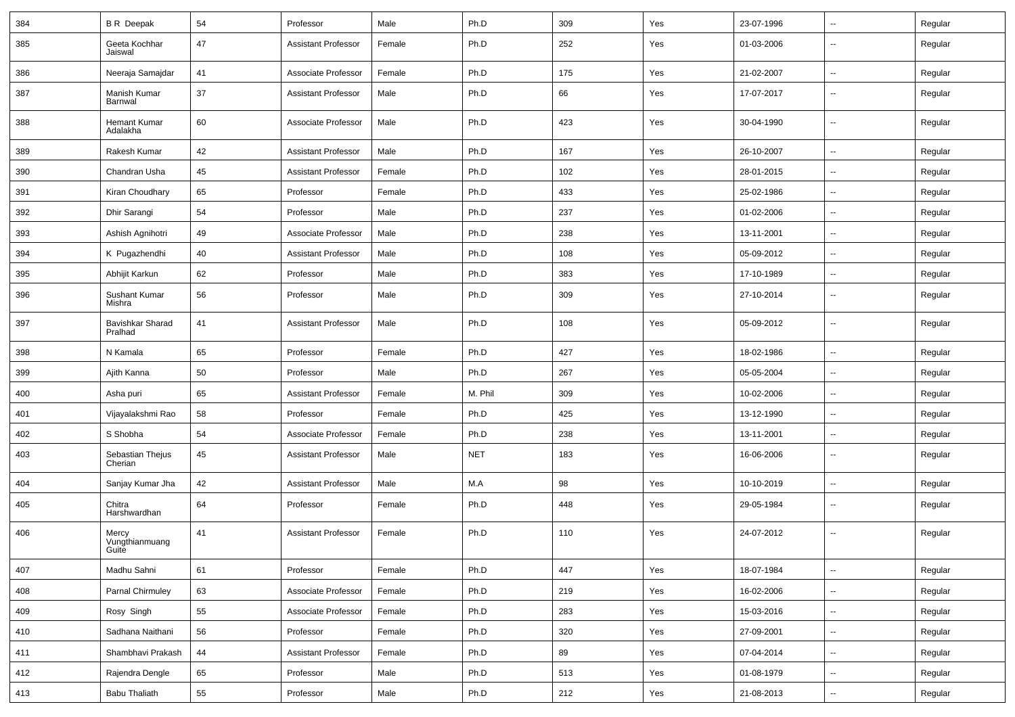| 384 | <b>B R</b> Deepak                | 54 | Professor                  | Male   | Ph.D       | 309 | Yes | 23-07-1996 | $\sim$                   | Regular |
|-----|----------------------------------|----|----------------------------|--------|------------|-----|-----|------------|--------------------------|---------|
| 385 | Geeta Kochhar<br>Jaiswal         | 47 | <b>Assistant Professor</b> | Female | Ph.D       | 252 | Yes | 01-03-2006 | $\overline{a}$           | Regular |
| 386 | Neeraja Samajdar                 | 41 | Associate Professor        | Female | Ph.D       | 175 | Yes | 21-02-2007 | ⊷.                       | Regular |
| 387 | Manish Kumar<br>Barnwal          | 37 | <b>Assistant Professor</b> | Male   | Ph.D       | 66  | Yes | 17-07-2017 | $\overline{a}$           | Regular |
| 388 | <b>Hemant Kumar</b><br>Adalakha  | 60 | Associate Professor        | Male   | Ph.D       | 423 | Yes | 30-04-1990 | $\overline{\phantom{a}}$ | Regular |
| 389 | Rakesh Kumar                     | 42 | <b>Assistant Professor</b> | Male   | Ph.D       | 167 | Yes | 26-10-2007 | u.                       | Regular |
| 390 | Chandran Usha                    | 45 | <b>Assistant Professor</b> | Female | Ph.D       | 102 | Yes | 28-01-2015 | ۰.                       | Regular |
| 391 | Kiran Choudhary                  | 65 | Professor                  | Female | Ph.D       | 433 | Yes | 25-02-1986 | $\overline{a}$           | Regular |
| 392 | Dhir Sarangi                     | 54 | Professor                  | Male   | Ph.D       | 237 | Yes | 01-02-2006 | $\sim$                   | Regular |
| 393 | Ashish Agnihotri                 | 49 | Associate Professor        | Male   | Ph.D       | 238 | Yes | 13-11-2001 | $\sim$                   | Regular |
| 394 | K Pugazhendhi                    | 40 | <b>Assistant Professor</b> | Male   | Ph.D       | 108 | Yes | 05-09-2012 | $\overline{a}$           | Regular |
| 395 | Abhijit Karkun                   | 62 | Professor                  | Male   | Ph.D       | 383 | Yes | 17-10-1989 | $\overline{a}$           | Regular |
| 396 | Sushant Kumar<br>Mishra          | 56 | Professor                  | Male   | Ph.D       | 309 | Yes | 27-10-2014 | ۰.                       | Regular |
| 397 | Bavishkar Sharad<br>Pralhad      | 41 | <b>Assistant Professor</b> | Male   | Ph.D       | 108 | Yes | 05-09-2012 | ۰.                       | Regular |
| 398 | N Kamala                         | 65 | Professor                  | Female | Ph.D       | 427 | Yes | 18-02-1986 | ۰.                       | Regular |
| 399 | Ajith Kanna                      | 50 | Professor                  | Male   | Ph.D       | 267 | Yes | 05-05-2004 | $\overline{a}$           | Regular |
| 400 | Asha puri                        | 65 | <b>Assistant Professor</b> | Female | M. Phil    | 309 | Yes | 10-02-2006 | $\overline{\phantom{a}}$ | Regular |
| 401 | Vijayalakshmi Rao                | 58 | Professor                  | Female | Ph.D       | 425 | Yes | 13-12-1990 | $\sim$                   | Regular |
| 402 | S Shobha                         | 54 | Associate Professor        | Female | Ph.D       | 238 | Yes | 13-11-2001 | $\overline{a}$           | Regular |
| 403 | Sebastian Thejus<br>Cherian      | 45 | <b>Assistant Professor</b> | Male   | <b>NET</b> | 183 | Yes | 16-06-2006 | $\overline{a}$           | Regular |
| 404 | Sanjay Kumar Jha                 | 42 | <b>Assistant Professor</b> | Male   | M.A        | 98  | Yes | 10-10-2019 | $\overline{\phantom{a}}$ | Regular |
| 405 | Chitra<br>Harshwardhan           | 64 | Professor                  | Female | Ph.D       | 448 | Yes | 29-05-1984 | --                       | Regular |
| 406 | Mercy<br>Vungthianmuang<br>Guite | 41 | <b>Assistant Professor</b> | Female | Ph.D       | 110 | Yes | 24-07-2012 | --                       | Regular |
| 407 | Madhu Sahni                      | 61 | Professor                  | Female | Ph.D       | 447 | Yes | 18-07-1984 | $\sim$                   | Regular |
| 408 | Parnal Chirmuley                 | 63 | Associate Professor        | Female | Ph.D       | 219 | Yes | 16-02-2006 | $\overline{\phantom{a}}$ | Regular |
| 409 | Rosy Singh                       | 55 | Associate Professor        | Female | Ph.D       | 283 | Yes | 15-03-2016 | $\overline{\phantom{a}}$ | Regular |
| 410 | Sadhana Naithani                 | 56 | Professor                  | Female | Ph.D       | 320 | Yes | 27-09-2001 | $\sim$                   | Regular |
| 411 | Shambhavi Prakash                | 44 | <b>Assistant Professor</b> | Female | Ph.D       | 89  | Yes | 07-04-2014 | $\sim$                   | Regular |
| 412 | Rajendra Dengle                  | 65 | Professor                  | Male   | Ph.D       | 513 | Yes | 01-08-1979 | ⊷.                       | Regular |
| 413 | <b>Babu Thaliath</b>             | 55 | Professor                  | Male   | Ph.D       | 212 | Yes | 21-08-2013 | $\overline{\phantom{a}}$ | Regular |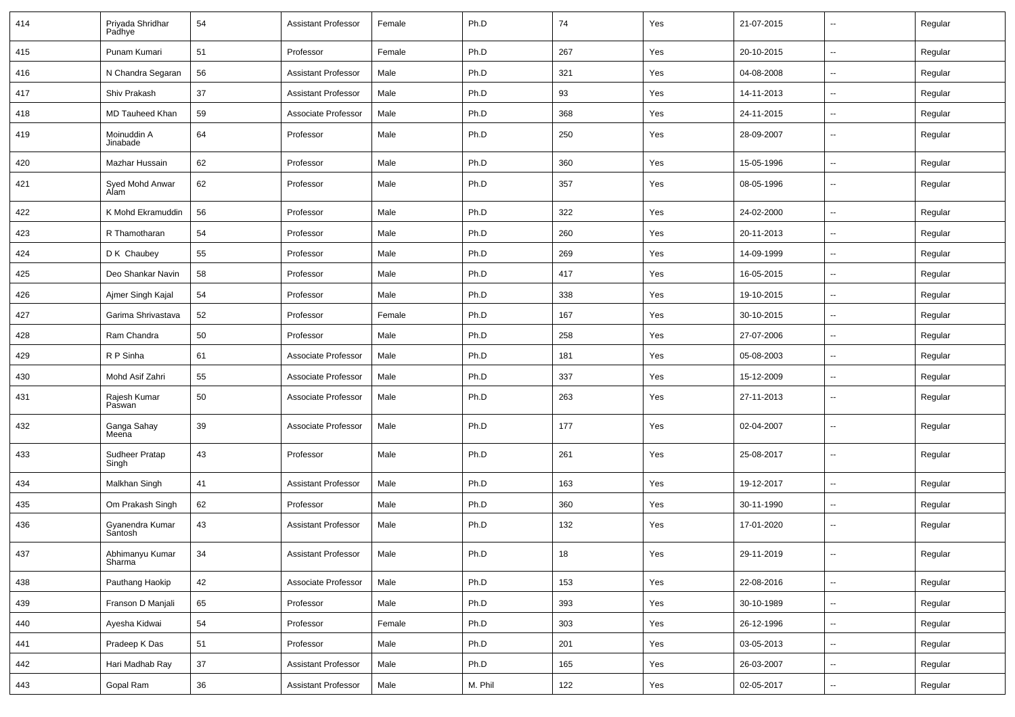| 414 | Priyada Shridhar<br>Padhye | 54     | <b>Assistant Professor</b> | Female | Ph.D    | 74  | Yes | 21-07-2015 | $\overline{\phantom{a}}$ | Regular |
|-----|----------------------------|--------|----------------------------|--------|---------|-----|-----|------------|--------------------------|---------|
| 415 | Punam Kumari               | 51     | Professor                  | Female | Ph.D    | 267 | Yes | 20-10-2015 | $\sim$                   | Regular |
| 416 | N Chandra Segaran          | 56     | <b>Assistant Professor</b> | Male   | Ph.D    | 321 | Yes | 04-08-2008 | н.                       | Regular |
| 417 | Shiv Prakash               | 37     | <b>Assistant Professor</b> | Male   | Ph.D    | 93  | Yes | 14-11-2013 | $\overline{\phantom{a}}$ | Regular |
| 418 | <b>MD Tauheed Khan</b>     | 59     | Associate Professor        | Male   | Ph.D    | 368 | Yes | 24-11-2015 | ⊷.                       | Regular |
| 419 | Moinuddin A<br>Jinabade    | 64     | Professor                  | Male   | Ph.D    | 250 | Yes | 28-09-2007 |                          | Regular |
| 420 | Mazhar Hussain             | 62     | Professor                  | Male   | Ph.D    | 360 | Yes | 15-05-1996 | $\overline{\phantom{a}}$ | Regular |
| 421 | Syed Mohd Anwar<br>Alam    | 62     | Professor                  | Male   | Ph.D    | 357 | Yes | 08-05-1996 | Ξ.                       | Regular |
| 422 | K Mohd Ekramuddin          | 56     | Professor                  | Male   | Ph.D    | 322 | Yes | 24-02-2000 | $\sim$                   | Regular |
| 423 | R Thamotharan              | 54     | Professor                  | Male   | Ph.D    | 260 | Yes | 20-11-2013 | $\sim$                   | Regular |
| 424 | D K Chaubey                | 55     | Professor                  | Male   | Ph.D    | 269 | Yes | 14-09-1999 | -−                       | Regular |
| 425 | Deo Shankar Navin          | 58     | Professor                  | Male   | Ph.D    | 417 | Yes | 16-05-2015 | $\overline{\phantom{a}}$ | Regular |
| 426 | Ajmer Singh Kajal          | 54     | Professor                  | Male   | Ph.D    | 338 | Yes | 19-10-2015 | $\overline{\phantom{a}}$ | Regular |
| 427 | Garima Shrivastava         | 52     | Professor                  | Female | Ph.D    | 167 | Yes | 30-10-2015 | -−                       | Regular |
| 428 | Ram Chandra                | 50     | Professor                  | Male   | Ph.D    | 258 | Yes | 27-07-2006 | $\sim$                   | Regular |
| 429 | R P Sinha                  | 61     | Associate Professor        | Male   | Ph.D    | 181 | Yes | 05-08-2003 | $\sim$                   | Regular |
| 430 | Mohd Asif Zahri            | 55     | Associate Professor        | Male   | Ph.D    | 337 | Yes | 15-12-2009 | ⊷.                       | Regular |
| 431 | Rajesh Kumar<br>Paswan     | 50     | Associate Professor        | Male   | Ph.D    | 263 | Yes | 27-11-2013 | $\overline{\phantom{a}}$ | Regular |
| 432 | Ganga Sahay<br>Meena       | 39     | Associate Professor        | Male   | Ph.D    | 177 | Yes | 02-04-2007 | ⊷.                       | Regular |
| 433 | Sudheer Pratap<br>Singh    | 43     | Professor                  | Male   | Ph.D    | 261 | Yes | 25-08-2017 | $\overline{\phantom{a}}$ | Regular |
| 434 | Malkhan Singh              | 41     | <b>Assistant Professor</b> | Male   | Ph.D    | 163 | Yes | 19-12-2017 | Ξ.                       | Regular |
| 435 | Om Prakash Singh           | 62     | Professor                  | Male   | Ph.D    | 360 | Yes | 30-11-1990 | $\overline{\phantom{a}}$ | Regular |
| 436 | Gyanendra Kumar<br>Santosh | 43     | <b>Assistant Professor</b> | Male   | Ph.D    | 132 | Yes | 17-01-2020 | н.                       | Regular |
| 437 | Abhimanyu Kumar<br>Sharma  | 34     | Assistant Professor        | Male   | Ph.D    | 18  | Yes | 29-11-2019 |                          | Regular |
| 438 | Pauthang Haokip            | 42     | Associate Professor        | Male   | Ph.D    | 153 | Yes | 22-08-2016 | цú.                      | Regular |
| 439 | Franson D Manjali          | 65     | Professor                  | Male   | Ph.D    | 393 | Yes | 30-10-1989 | н.                       | Regular |
| 440 | Ayesha Kidwai              | 54     | Professor                  | Female | Ph.D    | 303 | Yes | 26-12-1996 | $\overline{\phantom{a}}$ | Regular |
| 441 | Pradeep K Das              | 51     | Professor                  | Male   | Ph.D    | 201 | Yes | 03-05-2013 | $\overline{\phantom{a}}$ | Regular |
| 442 | Hari Madhab Ray            | 37     | <b>Assistant Professor</b> | Male   | Ph.D    | 165 | Yes | 26-03-2007 | $\overline{\phantom{a}}$ | Regular |
| 443 | Gopal Ram                  | $36\,$ | <b>Assistant Professor</b> | Male   | M. Phil | 122 | Yes | 02-05-2017 | н.                       | Regular |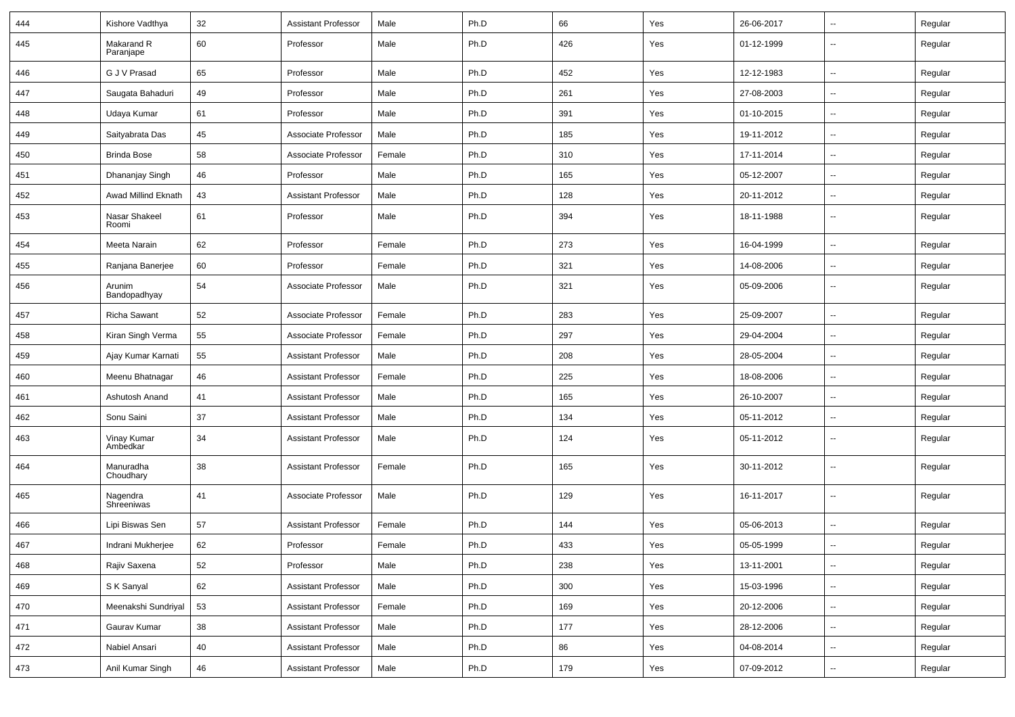| 444 | Kishore Vadthya         | 32 | <b>Assistant Professor</b> | Male   | Ph.D | 66  | Yes | 26-06-2017 | $\sim$                   | Regular |
|-----|-------------------------|----|----------------------------|--------|------|-----|-----|------------|--------------------------|---------|
| 445 | Makarand R<br>Paranjape | 60 | Professor                  | Male   | Ph.D | 426 | Yes | 01-12-1999 | Ξ.                       | Regular |
| 446 | G J V Prasad            | 65 | Professor                  | Male   | Ph.D | 452 | Yes | 12-12-1983 | Ξ.                       | Regular |
| 447 | Saugata Bahaduri        | 49 | Professor                  | Male   | Ph.D | 261 | Yes | 27-08-2003 | $\sim$                   | Regular |
| 448 | Udaya Kumar             | 61 | Professor                  | Male   | Ph.D | 391 | Yes | 01-10-2015 | $\overline{\phantom{a}}$ | Regular |
| 449 | Saityabrata Das         | 45 | Associate Professor        | Male   | Ph.D | 185 | Yes | 19-11-2012 | $\sim$                   | Regular |
| 450 | <b>Brinda Bose</b>      | 58 | Associate Professor        | Female | Ph.D | 310 | Yes | 17-11-2014 | $\sim$                   | Regular |
| 451 | Dhananjay Singh         | 46 | Professor                  | Male   | Ph.D | 165 | Yes | 05-12-2007 | $\overline{\phantom{a}}$ | Regular |
| 452 | Awad Millind Eknath     | 43 | <b>Assistant Professor</b> | Male   | Ph.D | 128 | Yes | 20-11-2012 | Ξ.                       | Regular |
| 453 | Nasar Shakeel<br>Roomi  | 61 | Professor                  | Male   | Ph.D | 394 | Yes | 18-11-1988 | $\overline{\phantom{a}}$ | Regular |
| 454 | Meeta Narain            | 62 | Professor                  | Female | Ph.D | 273 | Yes | 16-04-1999 | $\overline{\phantom{a}}$ | Regular |
| 455 | Ranjana Banerjee        | 60 | Professor                  | Female | Ph.D | 321 | Yes | 14-08-2006 | --                       | Regular |
| 456 | Arunim<br>Bandopadhyay  | 54 | Associate Professor        | Male   | Ph.D | 321 | Yes | 05-09-2006 | $\sim$                   | Regular |
| 457 | Richa Sawant            | 52 | Associate Professor        | Female | Ph.D | 283 | Yes | 25-09-2007 | $\sim$                   | Regular |
| 458 | Kiran Singh Verma       | 55 | Associate Professor        | Female | Ph.D | 297 | Yes | 29-04-2004 | $\sim$                   | Regular |
| 459 | Ajay Kumar Karnati      | 55 | <b>Assistant Professor</b> | Male   | Ph.D | 208 | Yes | 28-05-2004 | $\overline{\phantom{a}}$ | Regular |
| 460 | Meenu Bhatnagar         | 46 | <b>Assistant Professor</b> | Female | Ph.D | 225 | Yes | 18-08-2006 | Ξ.                       | Regular |
| 461 | Ashutosh Anand          | 41 | <b>Assistant Professor</b> | Male   | Ph.D | 165 | Yes | 26-10-2007 | $\overline{\phantom{a}}$ | Regular |
| 462 | Sonu Saini              | 37 | <b>Assistant Professor</b> | Male   | Ph.D | 134 | Yes | 05-11-2012 | $\overline{\phantom{a}}$ | Regular |
| 463 | Vinay Kumar<br>Ambedkar | 34 | <b>Assistant Professor</b> | Male   | Ph.D | 124 | Yes | 05-11-2012 | $\sim$                   | Regular |
| 464 | Manuradha<br>Choudhary  | 38 | <b>Assistant Professor</b> | Female | Ph.D | 165 | Yes | 30-11-2012 | $\sim$                   | Regular |
| 465 | Nagendra<br>Shreeniwas  | 41 | Associate Professor        | Male   | Ph.D | 129 | Yes | 16-11-2017 | $\sim$                   | Regular |
| 466 | Lipi Biswas Sen         | 57 | <b>Assistant Professor</b> | Female | Ph.D | 144 | Yes | 05-06-2013 | $\sim$                   | Regular |
| 467 | Indrani Mukherjee       | 62 | Professor                  | Female | Ph.D | 433 | Yes | 05-05-1999 | -−                       | Regular |
| 468 | Rajiv Saxena            | 52 | Professor                  | Male   | Ph.D | 238 | Yes | 13-11-2001 | $\sim$                   | Regular |
| 469 | S K Sanyal              | 62 | <b>Assistant Professor</b> | Male   | Ph.D | 300 | Yes | 15-03-1996 | $\sim$                   | Regular |
| 470 | Meenakshi Sundriyal     | 53 | <b>Assistant Professor</b> | Female | Ph.D | 169 | Yes | 20-12-2006 | $\sim$                   | Regular |
| 471 | Gaurav Kumar            | 38 | <b>Assistant Professor</b> | Male   | Ph.D | 177 | Yes | 28-12-2006 | Ξ.                       | Regular |
| 472 | Nabiel Ansari           | 40 | <b>Assistant Professor</b> | Male   | Ph.D | 86  | Yes | 04-08-2014 | $\sim$                   | Regular |
| 473 | Anil Kumar Singh        | 46 | <b>Assistant Professor</b> | Male   | Ph.D | 179 | Yes | 07-09-2012 | $\sim$                   | Regular |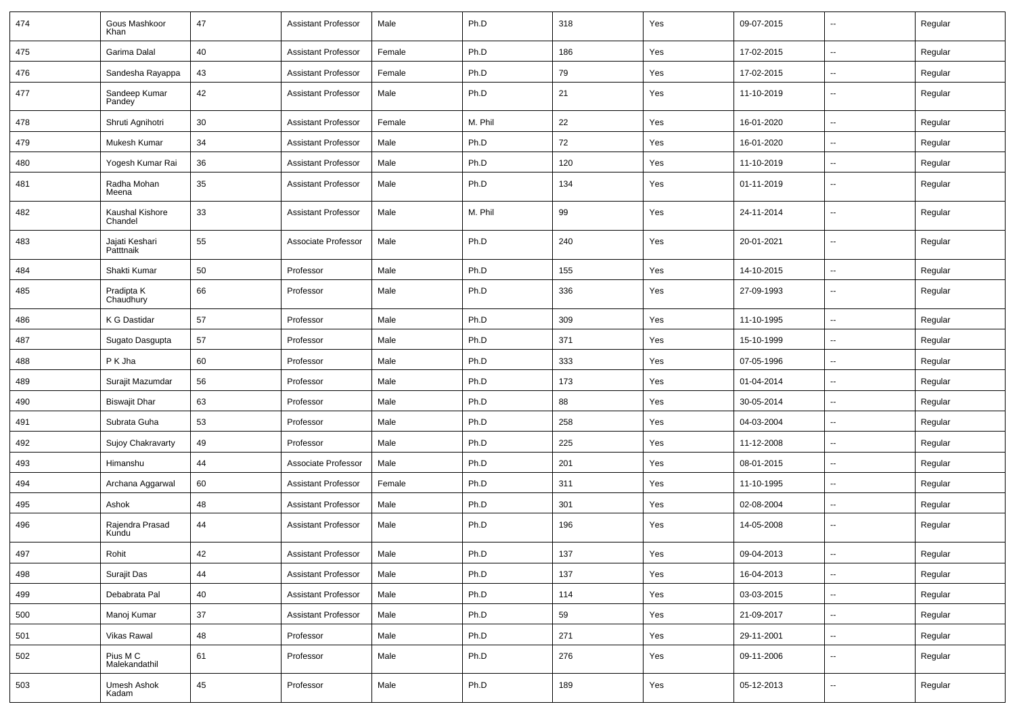| 474 | Gous Mashkoor<br>Khan       | 47 | <b>Assistant Professor</b> | Male   | Ph.D    | 318 | Yes | 09-07-2015 | $\sim$                   | Regular |
|-----|-----------------------------|----|----------------------------|--------|---------|-----|-----|------------|--------------------------|---------|
| 475 | Garima Dalal                | 40 | <b>Assistant Professor</b> | Female | Ph.D    | 186 | Yes | 17-02-2015 | $\mathbf{u}$             | Regular |
| 476 | Sandesha Rayappa            | 43 | <b>Assistant Professor</b> | Female | Ph.D    | 79  | Yes | 17-02-2015 | $\sim$                   | Regular |
| 477 | Sandeep Kumar<br>Pandey     | 42 | <b>Assistant Professor</b> | Male   | Ph.D    | 21  | Yes | 11-10-2019 | $\overline{\phantom{a}}$ | Regular |
| 478 | Shruti Agnihotri            | 30 | <b>Assistant Professor</b> | Female | M. Phil | 22  | Yes | 16-01-2020 | $\overline{\phantom{a}}$ | Regular |
| 479 | Mukesh Kumar                | 34 | <b>Assistant Professor</b> | Male   | Ph.D    | 72  | Yes | 16-01-2020 | $\mathbf{u}$             | Regular |
| 480 | Yogesh Kumar Rai            | 36 | <b>Assistant Professor</b> | Male   | Ph.D    | 120 | Yes | 11-10-2019 | $\sim$                   | Regular |
| 481 | Radha Mohan<br>Meena        | 35 | <b>Assistant Professor</b> | Male   | Ph.D    | 134 | Yes | 01-11-2019 | $\sim$                   | Regular |
| 482 | Kaushal Kishore<br>Chandel  | 33 | <b>Assistant Professor</b> | Male   | M. Phil | 99  | Yes | 24-11-2014 |                          | Regular |
| 483 | Jajati Keshari<br>Patttnaik | 55 | Associate Professor        | Male   | Ph.D    | 240 | Yes | 20-01-2021 | $\sim$                   | Regular |
| 484 | Shakti Kumar                | 50 | Professor                  | Male   | Ph.D    | 155 | Yes | 14-10-2015 | $\mathbf{u}$             | Regular |
| 485 | Pradipta K<br>Chaudhury     | 66 | Professor                  | Male   | Ph.D    | 336 | Yes | 27-09-1993 | $\sim$                   | Regular |
| 486 | K G Dastidar                | 57 | Professor                  | Male   | Ph.D    | 309 | Yes | 11-10-1995 | $\sim$                   | Regular |
| 487 | Sugato Dasgupta             | 57 | Professor                  | Male   | Ph.D    | 371 | Yes | 15-10-1999 | $\overline{\phantom{a}}$ | Regular |
| 488 | P K Jha                     | 60 | Professor                  | Male   | Ph.D    | 333 | Yes | 07-05-1996 | $\sim$                   | Regular |
| 489 | Surajit Mazumdar            | 56 | Professor                  | Male   | Ph.D    | 173 | Yes | 01-04-2014 |                          | Regular |
| 490 | <b>Biswajit Dhar</b>        | 63 | Professor                  | Male   | Ph.D    | 88  | Yes | 30-05-2014 | $\sim$                   | Regular |
| 491 | Subrata Guha                | 53 | Professor                  | Male   | Ph.D    | 258 | Yes | 04-03-2004 | $\sim$                   | Regular |
| 492 | Sujoy Chakravarty           | 49 | Professor                  | Male   | Ph.D    | 225 | Yes | 11-12-2008 | $\mathbf{u}$             | Regular |
| 493 | Himanshu                    | 44 | Associate Professor        | Male   | Ph.D    | 201 | Yes | 08-01-2015 | $\sim$                   | Regular |
| 494 | Archana Aggarwal            | 60 | <b>Assistant Professor</b> | Female | Ph.D    | 311 | Yes | 11-10-1995 | $\overline{\phantom{a}}$ | Regular |
| 495 | Ashok                       | 48 | <b>Assistant Professor</b> | Male   | Ph.D    | 301 | Yes | 02-08-2004 | $\mathbf{u}$             | Regular |
| 496 | Rajendra Prasad<br>Kundu    | 44 | <b>Assistant Professor</b> | Male   | Ph.D    | 196 | Yes | 14-05-2008 | $\sim$                   | Regular |
| 497 | Rohit                       | 42 | Assistant Professor        | Male   | Ph.D    | 137 | Yes | 09-04-2013 |                          | Regular |
| 498 | Surajit Das                 | 44 | <b>Assistant Professor</b> | Male   | Ph.D    | 137 | Yes | 16-04-2013 | $\sim$                   | Regular |
| 499 | Debabrata Pal               | 40 | Assistant Professor        | Male   | Ph.D    | 114 | Yes | 03-03-2015 | $\sim$                   | Regular |
| 500 | Manoj Kumar                 | 37 | <b>Assistant Professor</b> | Male   | Ph.D    | 59  | Yes | 21-09-2017 | $\sim$                   | Regular |
| 501 | Vikas Rawal                 | 48 | Professor                  | Male   | Ph.D    | 271 | Yes | 29-11-2001 | $\sim$                   | Regular |
| 502 | Pius M C<br>Malekandathil   | 61 | Professor                  | Male   | Ph.D    | 276 | Yes | 09-11-2006 | $\sim$                   | Regular |
| 503 | Umesh Ashok<br>Kadam        | 45 | Professor                  | Male   | Ph.D    | 189 | Yes | 05-12-2013 | $\overline{\phantom{a}}$ | Regular |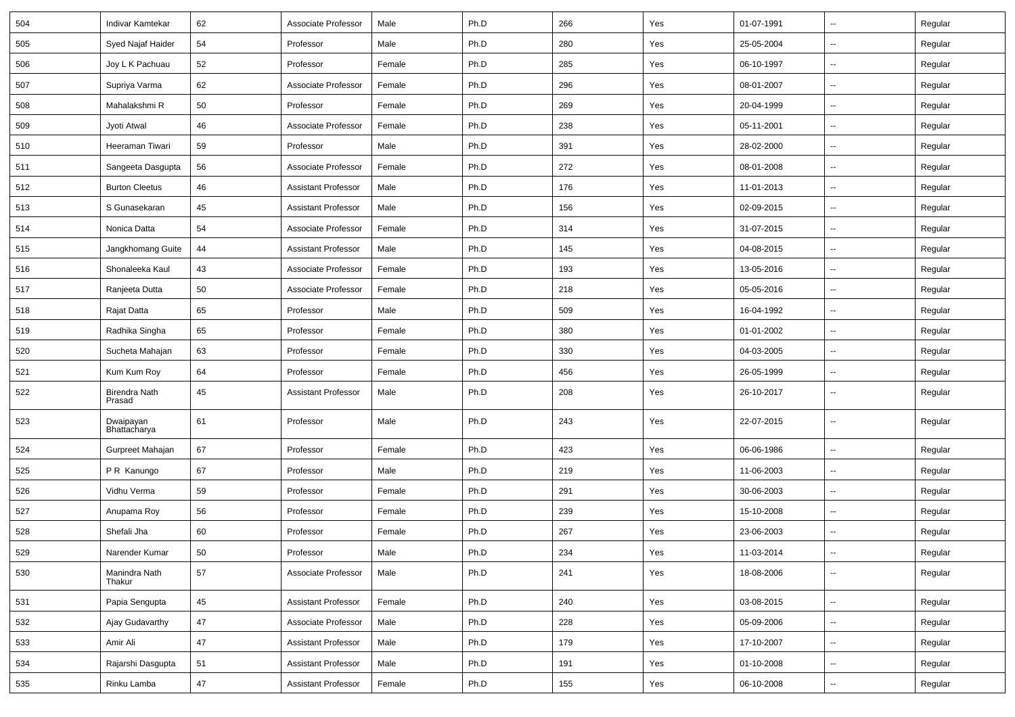| 504 | Indivar Kamtekar               | 62 | Associate Professor        | Male   | Ph.D | 266 | Yes | 01-07-1991 | $\overline{\phantom{a}}$ | Regular |
|-----|--------------------------------|----|----------------------------|--------|------|-----|-----|------------|--------------------------|---------|
| 505 | Syed Najaf Haider              | 54 | Professor                  | Male   | Ph.D | 280 | Yes | 25-05-2004 | $\overline{\phantom{a}}$ | Regular |
| 506 | Joy L K Pachuau                | 52 | Professor                  | Female | Ph.D | 285 | Yes | 06-10-1997 | $\overline{\phantom{a}}$ | Regular |
| 507 | Supriya Varma                  | 62 | Associate Professor        | Female | Ph.D | 296 | Yes | 08-01-2007 | $\overline{\phantom{a}}$ | Regular |
| 508 | Mahalakshmi R                  | 50 | Professor                  | Female | Ph.D | 269 | Yes | 20-04-1999 | $\overline{\phantom{a}}$ | Regular |
| 509 | Jyoti Atwal                    | 46 | Associate Professor        | Female | Ph.D | 238 | Yes | 05-11-2001 | Ξ.                       | Regular |
| 510 | Heeraman Tiwari                | 59 | Professor                  | Male   | Ph.D | 391 | Yes | 28-02-2000 | $\sim$                   | Regular |
| 511 | Sangeeta Dasgupta              | 56 | Associate Professor        | Female | Ph.D | 272 | Yes | 08-01-2008 | $\overline{\phantom{a}}$ | Regular |
| 512 | <b>Burton Cleetus</b>          | 46 | <b>Assistant Professor</b> | Male   | Ph.D | 176 | Yes | 11-01-2013 | $\overline{\phantom{a}}$ | Regular |
| 513 | S Gunasekaran                  | 45 | <b>Assistant Professor</b> | Male   | Ph.D | 156 | Yes | 02-09-2015 | $\overline{\phantom{a}}$ | Regular |
| 514 | Nonica Datta                   | 54 | Associate Professor        | Female | Ph.D | 314 | Yes | 31-07-2015 | $\overline{\phantom{a}}$ | Regular |
| 515 | Jangkhomang Guite              | 44 | <b>Assistant Professor</b> | Male   | Ph.D | 145 | Yes | 04-08-2015 | Ξ.                       | Regular |
| 516 | Shonaleeka Kaul                | 43 | Associate Professor        | Female | Ph.D | 193 | Yes | 13-05-2016 | $\sim$                   | Regular |
| 517 | Ranjeeta Dutta                 | 50 | Associate Professor        | Female | Ph.D | 218 | Yes | 05-05-2016 | $\overline{\phantom{a}}$ | Regular |
| 518 | Rajat Datta                    | 65 | Professor                  | Male   | Ph.D | 509 | Yes | 16-04-1992 | $\overline{\phantom{a}}$ | Regular |
| 519 | Radhika Singha                 | 65 | Professor                  | Female | Ph.D | 380 | Yes | 01-01-2002 | --                       | Regular |
| 520 | Sucheta Mahajan                | 63 | Professor                  | Female | Ph.D | 330 | Yes | 04-03-2005 | $\overline{\phantom{a}}$ | Regular |
| 521 | Kum Kum Roy                    | 64 | Professor                  | Female | Ph.D | 456 | Yes | 26-05-1999 | $\sim$                   | Regular |
| 522 | <b>Birendra Nath</b><br>Prasad | 45 | <b>Assistant Professor</b> | Male   | Ph.D | 208 | Yes | 26-10-2017 | ⊷.                       | Regular |
| 523 | Dwaipayan<br>Bhattacharya      | 61 | Professor                  | Male   | Ph.D | 243 | Yes | 22-07-2015 | $\sim$                   | Regular |
| 524 | Gurpreet Mahajan               | 67 | Professor                  | Female | Ph.D | 423 | Yes | 06-06-1986 | Ξ.                       | Regular |
| 525 | P R Kanungo                    | 67 | Professor                  | Male   | Ph.D | 219 | Yes | 11-06-2003 | $\overline{\phantom{a}}$ | Regular |
| 526 | Vidhu Verma                    | 59 | Professor                  | Female | Ph.D | 291 | Yes | 30-06-2003 | Щ,                       | Regular |
| 527 | Anupama Roy                    | 56 | Professor                  | Female | Ph.D | 239 | Yes | 15-10-2008 | $\overline{\phantom{a}}$ | Regular |
| 528 | Shefali Jha                    | 60 | Professor                  | Female | Ph.D | 267 | Yes | 23-06-2003 | --                       | Regular |
| 529 | Narender Kumar                 | 50 | Professor                  | Male   | Ph.D | 234 | Yes | 11-03-2014 |                          | Regular |
| 530 | Manindra Nath<br>Thakur        | 57 | Associate Professor        | Male   | Ph.D | 241 | Yes | 18-08-2006 | $\sim$                   | Regular |
| 531 | Papia Sengupta                 | 45 | Assistant Professor        | Female | Ph.D | 240 | Yes | 03-08-2015 | $\sim$                   | Regular |
| 532 | Ajay Gudavarthy                | 47 | Associate Professor        | Male   | Ph.D | 228 | Yes | 05-09-2006 | $\sim$                   | Regular |
| 533 | Amir Ali                       | 47 | <b>Assistant Professor</b> | Male   | Ph.D | 179 | Yes | 17-10-2007 | н.                       | Regular |
| 534 | Rajarshi Dasgupta              | 51 | <b>Assistant Professor</b> | Male   | Ph.D | 191 | Yes | 01-10-2008 | $\sim$                   | Regular |
| 535 | Rinku Lamba                    | 47 | <b>Assistant Professor</b> | Female | Ph.D | 155 | Yes | 06-10-2008 | $\sim$                   | Regular |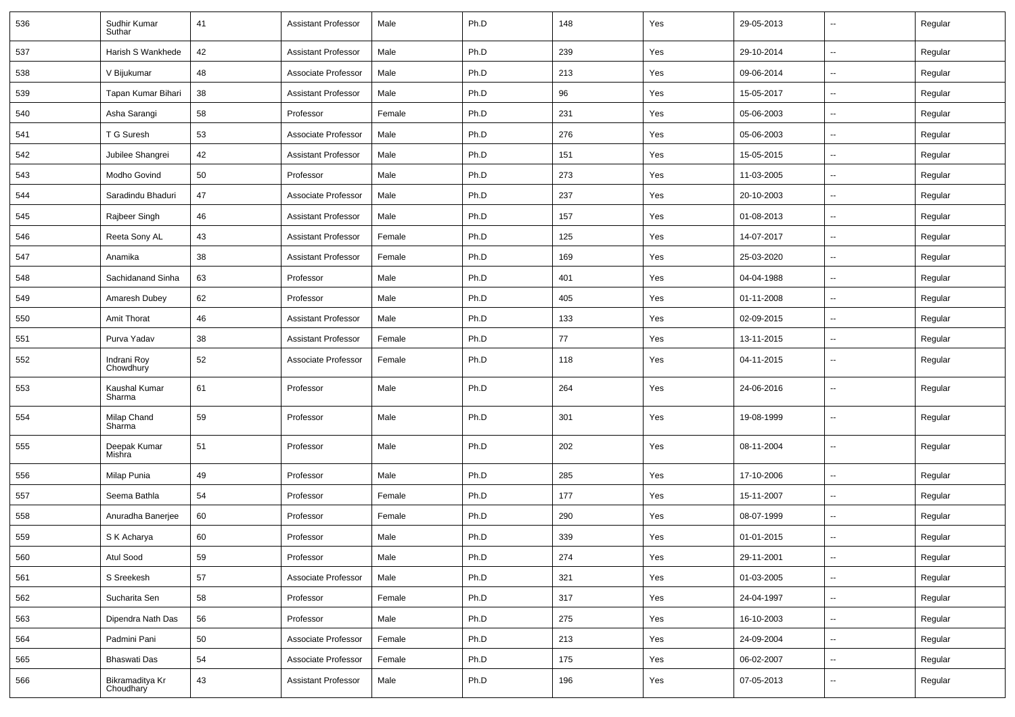| 536 | Sudhir Kumar<br>Suthar       | 41 | <b>Assistant Professor</b> | Male   | Ph.D | 148 | Yes | 29-05-2013 | $\overline{\phantom{a}}$ | Regular |
|-----|------------------------------|----|----------------------------|--------|------|-----|-----|------------|--------------------------|---------|
| 537 | Harish S Wankhede            | 42 | <b>Assistant Professor</b> | Male   | Ph.D | 239 | Yes | 29-10-2014 | $\overline{\phantom{a}}$ | Regular |
| 538 | V Bijukumar                  | 48 | Associate Professor        | Male   | Ph.D | 213 | Yes | 09-06-2014 | н.                       | Regular |
| 539 | Tapan Kumar Bihari           | 38 | <b>Assistant Professor</b> | Male   | Ph.D | 96  | Yes | 15-05-2017 | -−                       | Regular |
| 540 | Asha Sarangi                 | 58 | Professor                  | Female | Ph.D | 231 | Yes | 05-06-2003 | $\overline{\phantom{a}}$ | Regular |
| 541 | T G Suresh                   | 53 | Associate Professor        | Male   | Ph.D | 276 | Yes | 05-06-2003 | -−                       | Regular |
| 542 | Jubilee Shangrei             | 42 | <b>Assistant Professor</b> | Male   | Ph.D | 151 | Yes | 15-05-2015 | ⊷.                       | Regular |
| 543 | Modho Govind                 | 50 | Professor                  | Male   | Ph.D | 273 | Yes | 11-03-2005 | $\overline{\phantom{a}}$ | Regular |
| 544 | Saradindu Bhaduri            | 47 | Associate Professor        | Male   | Ph.D | 237 | Yes | 20-10-2003 | $\overline{\phantom{a}}$ | Regular |
| 545 | Rajbeer Singh                | 46 | <b>Assistant Professor</b> | Male   | Ph.D | 157 | Yes | 01-08-2013 | -−                       | Regular |
| 546 | Reeta Sony AL                | 43 | <b>Assistant Professor</b> | Female | Ph.D | 125 | Yes | 14-07-2017 | --                       | Regular |
| 547 | Anamika                      | 38 | <b>Assistant Professor</b> | Female | Ph.D | 169 | Yes | 25-03-2020 | --                       | Regular |
| 548 | Sachidanand Sinha            | 63 | Professor                  | Male   | Ph.D | 401 | Yes | 04-04-1988 | $\sim$                   | Regular |
| 549 | Amaresh Dubey                | 62 | Professor                  | Male   | Ph.D | 405 | Yes | 01-11-2008 | н.                       | Regular |
| 550 | Amit Thorat                  | 46 | <b>Assistant Professor</b> | Male   | Ph.D | 133 | Yes | 02-09-2015 | -−                       | Regular |
| 551 | Purva Yadav                  | 38 | <b>Assistant Professor</b> | Female | Ph.D | 77  | Yes | 13-11-2015 | -−                       | Regular |
| 552 | Indrani Roy<br>Chowdhury     | 52 | Associate Professor        | Female | Ph.D | 118 | Yes | 04-11-2015 | $\overline{a}$           | Regular |
| 553 | Kaushal Kumar<br>Sharma      | 61 | Professor                  | Male   | Ph.D | 264 | Yes | 24-06-2016 | $\overline{\phantom{a}}$ | Regular |
| 554 | Milap Chand<br>Sharma        | 59 | Professor                  | Male   | Ph.D | 301 | Yes | 19-08-1999 | $\overline{a}$           | Regular |
| 555 | Deepak Kumar<br>Mishra       | 51 | Professor                  | Male   | Ph.D | 202 | Yes | 08-11-2004 | $\overline{a}$           | Regular |
| 556 | Milap Punia                  | 49 | Professor                  | Male   | Ph.D | 285 | Yes | 17-10-2006 | --                       | Regular |
| 557 | Seema Bathla                 | 54 | Professor                  | Female | Ph.D | 177 | Yes | 15-11-2007 | -−                       | Regular |
| 558 | Anuradha Banerjee            | 60 | Professor                  | Female | Ph.D | 290 | Yes | 08-07-1999 | $-$                      | Regular |
| 559 | S K Acharya                  | 60 | Professor                  | Male   | Ph.D | 339 | Yes | 01-01-2015 | Ξ.                       | Regular |
| 560 | Atul Sood                    | 59 | Professor                  | Male   | Ph.D | 274 | Yes | 29-11-2001 | н.                       | Regular |
| 561 | S Sreekesh                   | 57 | Associate Professor        | Male   | Ph.D | 321 | Yes | 01-03-2005 | н.                       | Regular |
| 562 | Sucharita Sen                | 58 | Professor                  | Female | Ph.D | 317 | Yes | 24-04-1997 | $\sim$                   | Regular |
| 563 | Dipendra Nath Das            | 56 | Professor                  | Male   | Ph.D | 275 | Yes | 16-10-2003 | $\sim$                   | Regular |
| 564 | Padmini Pani                 | 50 | Associate Professor        | Female | Ph.D | 213 | Yes | 24-09-2004 | н.                       | Regular |
| 565 | Bhaswati Das                 | 54 | Associate Professor        | Female | Ph.D | 175 | Yes | 06-02-2007 | $\overline{\phantom{a}}$ | Regular |
| 566 | Bikramaditya Kr<br>Choudhary | 43 | <b>Assistant Professor</b> | Male   | Ph.D | 196 | Yes | 07-05-2013 | н.                       | Regular |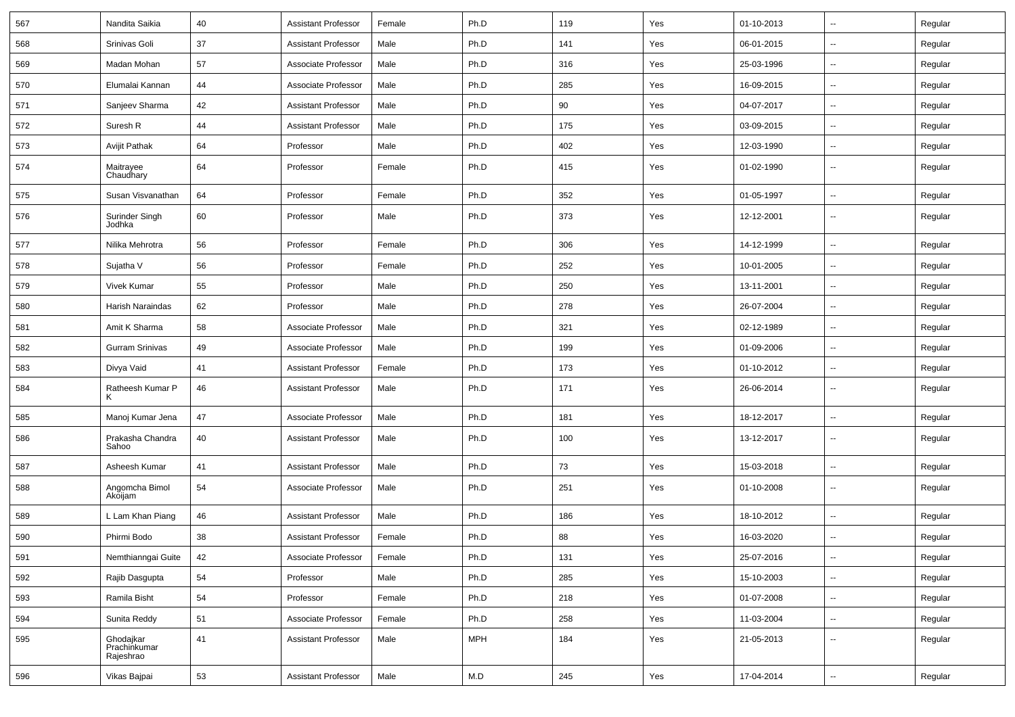| 567 | Nandita Saikia                         | 40 | <b>Assistant Professor</b> | Female | Ph.D       | 119 | Yes | 01-10-2013 | ⊷.                       | Regular |
|-----|----------------------------------------|----|----------------------------|--------|------------|-----|-----|------------|--------------------------|---------|
| 568 | Srinivas Goli                          | 37 | <b>Assistant Professor</b> | Male   | Ph.D       | 141 | Yes | 06-01-2015 | -−                       | Regular |
| 569 | Madan Mohan                            | 57 | Associate Professor        | Male   | Ph.D       | 316 | Yes | 25-03-1996 | -−                       | Regular |
| 570 | Elumalai Kannan                        | 44 | Associate Professor        | Male   | Ph.D       | 285 | Yes | 16-09-2015 | $\overline{a}$           | Regular |
| 571 | Sanjeev Sharma                         | 42 | <b>Assistant Professor</b> | Male   | Ph.D       | 90  | Yes | 04-07-2017 | -−                       | Regular |
| 572 | Suresh R                               | 44 | <b>Assistant Professor</b> | Male   | Ph.D       | 175 | Yes | 03-09-2015 | Ξ.                       | Regular |
| 573 | <b>Avijit Pathak</b>                   | 64 | Professor                  | Male   | Ph.D       | 402 | Yes | 12-03-1990 | ⊷.                       | Regular |
| 574 | Maitrayee<br>Chaudhary                 | 64 | Professor                  | Female | Ph.D       | 415 | Yes | 01-02-1990 | -−                       | Regular |
| 575 | Susan Visvanathan                      | 64 | Professor                  | Female | Ph.D       | 352 | Yes | 01-05-1997 | $\overline{\phantom{a}}$ | Regular |
| 576 | Surinder Singh<br>Jodhka               | 60 | Professor                  | Male   | Ph.D       | 373 | Yes | 12-12-2001 | $\overline{\phantom{a}}$ | Regular |
| 577 | Nilika Mehrotra                        | 56 | Professor                  | Female | Ph.D       | 306 | Yes | 14-12-1999 | $\sim$                   | Regular |
| 578 | Sujatha V                              | 56 | Professor                  | Female | Ph.D       | 252 | Yes | 10-01-2005 | $\overline{\phantom{a}}$ | Regular |
| 579 | <b>Vivek Kumar</b>                     | 55 | Professor                  | Male   | Ph.D       | 250 | Yes | 13-11-2001 | --                       | Regular |
| 580 | Harish Naraindas                       | 62 | Professor                  | Male   | Ph.D       | 278 | Yes | 26-07-2004 | Ξ.                       | Regular |
| 581 | Amit K Sharma                          | 58 | Associate Professor        | Male   | Ph.D       | 321 | Yes | 02-12-1989 | $\overline{\phantom{a}}$ | Regular |
| 582 | <b>Gurram Srinivas</b>                 | 49 | Associate Professor        | Male   | Ph.D       | 199 | Yes | 01-09-2006 | н.                       | Regular |
| 583 | Divya Vaid                             | 41 | <b>Assistant Professor</b> | Female | Ph.D       | 173 | Yes | 01-10-2012 | -−                       | Regular |
| 584 | Ratheesh Kumar P<br>Κ                  | 46 | <b>Assistant Professor</b> | Male   | Ph.D       | 171 | Yes | 26-06-2014 | --                       | Regular |
| 585 | Manoj Kumar Jena                       | 47 | Associate Professor        | Male   | Ph.D       | 181 | Yes | 18-12-2017 | --                       | Regular |
| 586 | Prakasha Chandra<br>Sahoo              | 40 | <b>Assistant Professor</b> | Male   | Ph.D       | 100 | Yes | 13-12-2017 | --                       | Regular |
| 587 | Asheesh Kumar                          | 41 | <b>Assistant Professor</b> | Male   | Ph.D       | 73  | Yes | 15-03-2018 | --                       | Regular |
| 588 | Angomcha Bimol<br>Akoijam              | 54 | Associate Professor        | Male   | Ph.D       | 251 | Yes | 01-10-2008 | $\mathbf{u}$             | Regular |
| 589 | L Lam Khan Piang                       | 46 | <b>Assistant Professor</b> | Male   | Ph.D       | 186 | Yes | 18-10-2012 | $\overline{\phantom{a}}$ | Regular |
| 590 | Phirmi Bodo                            | 38 | <b>Assistant Professor</b> | Female | Ph.D       | 88  | Yes | 16-03-2020 | Ξ.                       | Regular |
| 591 | Nemthianngai Guite                     | 42 | Associate Professor        | Female | Ph.D       | 131 | Yes | 25-07-2016 | $\sim$                   | Regular |
| 592 | Rajib Dasgupta                         | 54 | Professor                  | Male   | Ph.D       | 285 | Yes | 15-10-2003 | н.                       | Regular |
| 593 | Ramila Bisht                           | 54 | Professor                  | Female | Ph.D       | 218 | Yes | 01-07-2008 | $\overline{\phantom{a}}$ | Regular |
| 594 | Sunita Reddy                           | 51 | Associate Professor        | Female | Ph.D       | 258 | Yes | 11-03-2004 | $\sim$                   | Regular |
| 595 | Ghodajkar<br>Prachinkumar<br>Rajeshrao | 41 | <b>Assistant Professor</b> | Male   | <b>MPH</b> | 184 | Yes | 21-05-2013 | $\overline{\phantom{a}}$ | Regular |
| 596 | Vikas Bajpai                           | 53 | <b>Assistant Professor</b> | Male   | M.D        | 245 | Yes | 17-04-2014 | н.                       | Regular |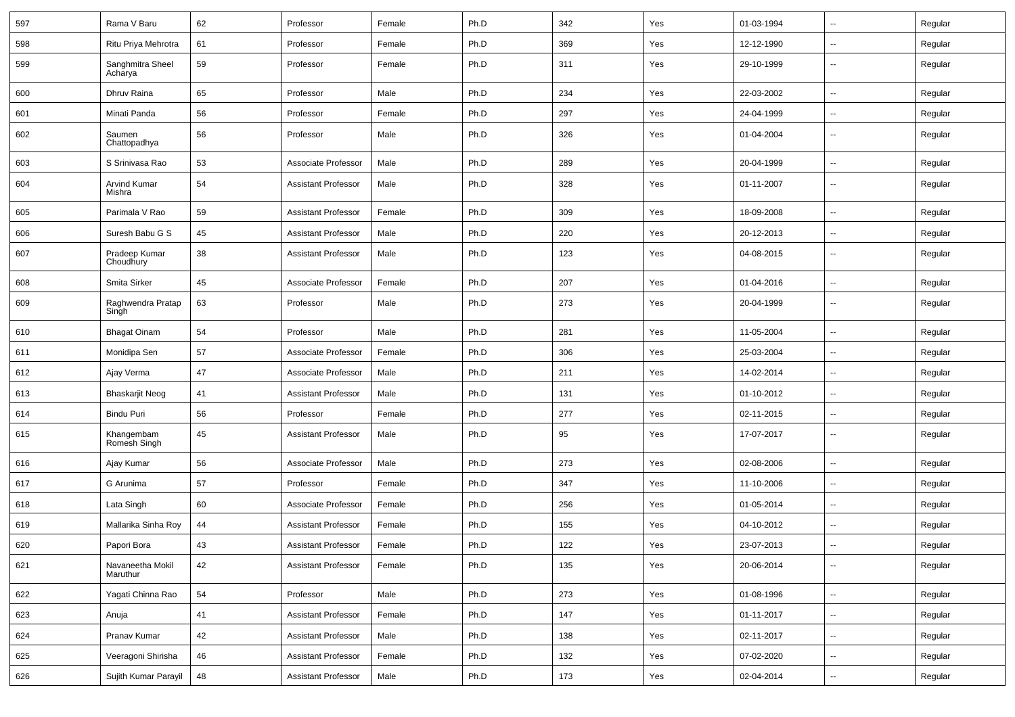| 597 | Rama V Baru                  | 62 | Professor                  | Female | Ph.D | 342 | Yes | 01-03-1994 |                          | Regular |
|-----|------------------------------|----|----------------------------|--------|------|-----|-----|------------|--------------------------|---------|
| 598 | Ritu Priya Mehrotra          | 61 | Professor                  | Female | Ph.D | 369 | Yes | 12-12-1990 | --                       | Regular |
| 599 | Sanghmitra Sheel<br>Acharya  | 59 | Professor                  | Female | Ph.D | 311 | Yes | 29-10-1999 | $\overline{\phantom{a}}$ | Regular |
| 600 | Dhruv Raina                  | 65 | Professor                  | Male   | Ph.D | 234 | Yes | 22-03-2002 | --                       | Regular |
| 601 | Minati Panda                 | 56 | Professor                  | Female | Ph.D | 297 | Yes | 24-04-1999 | --                       | Regular |
| 602 | Saumen<br>Chattopadhya       | 56 | Professor                  | Male   | Ph.D | 326 | Yes | 01-04-2004 | $\overline{\phantom{a}}$ | Regular |
| 603 | S Srinivasa Rao              | 53 | Associate Professor        | Male   | Ph.D | 289 | Yes | 20-04-1999 | $\overline{\phantom{a}}$ | Regular |
| 604 | Arvind Kumar<br>Mishra       | 54 | <b>Assistant Professor</b> | Male   | Ph.D | 328 | Yes | 01-11-2007 | $\overline{\phantom{a}}$ | Regular |
| 605 | Parimala V Rao               | 59 | <b>Assistant Professor</b> | Female | Ph.D | 309 | Yes | 18-09-2008 | $\overline{\phantom{a}}$ | Regular |
| 606 | Suresh Babu G S              | 45 | <b>Assistant Professor</b> | Male   | Ph.D | 220 | Yes | 20-12-2013 | --                       | Regular |
| 607 | Pradeep Kumar<br>Choudhury   | 38 | <b>Assistant Professor</b> | Male   | Ph.D | 123 | Yes | 04-08-2015 | $\overline{\phantom{a}}$ | Regular |
| 608 | Smita Sirker                 | 45 | Associate Professor        | Female | Ph.D | 207 | Yes | 01-04-2016 | -−                       | Regular |
| 609 | Raghwendra Pratap<br>Singh   | 63 | Professor                  | Male   | Ph.D | 273 | Yes | 20-04-1999 | ۵.                       | Regular |
| 610 | <b>Bhagat Oinam</b>          | 54 | Professor                  | Male   | Ph.D | 281 | Yes | 11-05-2004 | $\overline{a}$           | Regular |
| 611 | Monidipa Sen                 | 57 | Associate Professor        | Female | Ph.D | 306 | Yes | 25-03-2004 | --                       | Regular |
| 612 | Ajay Verma                   | 47 | Associate Professor        | Male   | Ph.D | 211 | Yes | 14-02-2014 | $\overline{\phantom{a}}$ | Regular |
| 613 | <b>Bhaskarjit Neog</b>       | 41 | <b>Assistant Professor</b> | Male   | Ph.D | 131 | Yes | 01-10-2012 | $\overline{\phantom{a}}$ | Regular |
| 614 | Bindu Puri                   | 56 | Professor                  | Female | Ph.D | 277 | Yes | 02-11-2015 | --                       | Regular |
| 615 | Khangembam<br>Romesh Singh   | 45 | <b>Assistant Professor</b> | Male   | Ph.D | 95  | Yes | 17-07-2017 | $\overline{\phantom{a}}$ | Regular |
| 616 | Ajay Kumar                   | 56 | Associate Professor        | Male   | Ph.D | 273 | Yes | 02-08-2006 | $\overline{\phantom{a}}$ | Regular |
| 617 | G Arunima                    | 57 | Professor                  | Female | Ph.D | 347 | Yes | 11-10-2006 | --                       | Regular |
| 618 | Lata Singh                   | 60 | Associate Professor        | Female | Ph.D | 256 | Yes | 01-05-2014 | --                       | Regular |
| 619 | Mallarika Sinha Roy          | 44 | <b>Assistant Professor</b> | Female | Ph.D | 155 | Yes | 04-10-2012 | $\overline{\phantom{a}}$ | Regular |
| 620 | Papori Bora                  | 43 | <b>Assistant Professor</b> | Female | Ph.D | 122 | Yes | 23-07-2013 | $\overline{\phantom{a}}$ | Regular |
| 621 | Navaneetha Mokil<br>Maruthur | 42 | <b>Assistant Professor</b> | Female | Ph.D | 135 | Yes | 20-06-2014 | $\overline{\phantom{a}}$ | Regular |
| 622 | Yagati Chinna Rao            | 54 | Professor                  | Male   | Ph.D | 273 | Yes | 01-08-1996 | $\overline{\phantom{a}}$ | Regular |
| 623 | Anuja                        | 41 | <b>Assistant Professor</b> | Female | Ph.D | 147 | Yes | 01-11-2017 | $\sim$                   | Regular |
| 624 | Pranav Kumar                 | 42 | <b>Assistant Professor</b> | Male   | Ph.D | 138 | Yes | 02-11-2017 | $\sim$                   | Regular |
| 625 | Veeragoni Shirisha           | 46 | <b>Assistant Professor</b> | Female | Ph.D | 132 | Yes | 07-02-2020 | $\overline{\phantom{a}}$ | Regular |
| 626 | Sujith Kumar Parayil         | 48 | <b>Assistant Professor</b> | Male   | Ph.D | 173 | Yes | 02-04-2014 | ₩,                       | Regular |